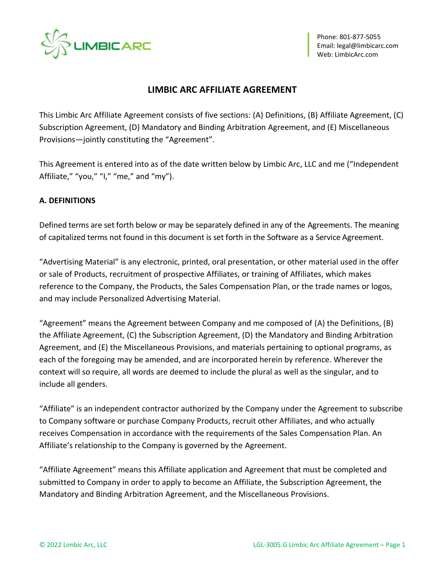

# **LIMBIC ARC AFFILIATE AGREEMENT**

This Limbic Arc Affiliate Agreement consists of five sections: (A) Definitions, (B) Affiliate Agreement, (C) Subscription Agreement, (D) Mandatory and Binding Arbitration Agreement, and (E) Miscellaneous Provisions—jointly constituting the "Agreement".

This Agreement is entered into as of the date written below by Limbic Arc, LLC and me ("Independent Affiliate," "you," "I," "me," and "my").

# **A. DEFINITIONS**

Defined terms are set forth below or may be separately defined in any of the Agreements. The meaning of capitalized terms not found in this document is set forth in the Software as a Service Agreement.

"Advertising Material" is any electronic, printed, oral presentation, or other material used in the offer or sale of Products, recruitment of prospective Affiliates, or training of Affiliates, which makes reference to the Company, the Products, the Sales Compensation Plan, or the trade names or logos, and may include Personalized Advertising Material.

"Agreement" means the Agreement between Company and me composed of (A) the Definitions, (B) the Affiliate Agreement, (C) the Subscription Agreement, (D) the Mandatory and Binding Arbitration Agreement, and (E) the Miscellaneous Provisions, and materials pertaining to optional programs, as each of the foregoing may be amended, and are incorporated herein by reference. Wherever the context will so require, all words are deemed to include the plural as well as the singular, and to include all genders.

"Affiliate" is an independent contractor authorized by the Company under the Agreement to subscribe to Company software or purchase Company Products, recruit other Affiliates, and who actually receives Compensation in accordance with the requirements of the Sales Compensation Plan. An Affiliate's relationship to the Company is governed by the Agreement.

"Affiliate Agreement" means this Affiliate application and Agreement that must be completed and submitted to Company in order to apply to become an Affiliate, the Subscription Agreement, the Mandatory and Binding Arbitration Agreement, and the Miscellaneous Provisions.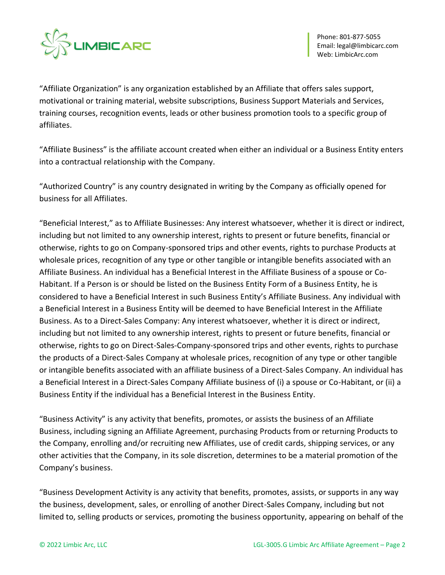

"Affiliate Organization" is any organization established by an Affiliate that offers sales support, motivational or training material, website subscriptions, Business Support Materials and Services, training courses, recognition events, leads or other business promotion tools to a specific group of affiliates.

"Affiliate Business" is the affiliate account created when either an individual or a Business Entity enters into a contractual relationship with the Company.

"Authorized Country" is any country designated in writing by the Company as officially opened for business for all Affiliates.

"Beneficial Interest," as to Affiliate Businesses: Any interest whatsoever, whether it is direct or indirect, including but not limited to any ownership interest, rights to present or future benefits, financial or otherwise, rights to go on Company-sponsored trips and other events, rights to purchase Products at wholesale prices, recognition of any type or other tangible or intangible benefits associated with an Affiliate Business. An individual has a Beneficial Interest in the Affiliate Business of a spouse or Co-Habitant. If a Person is or should be listed on the Business Entity Form of a Business Entity, he is considered to have a Beneficial Interest in such Business Entity's Affiliate Business. Any individual with a Beneficial Interest in a Business Entity will be deemed to have Beneficial Interest in the Affiliate Business. As to a Direct-Sales Company: Any interest whatsoever, whether it is direct or indirect, including but not limited to any ownership interest, rights to present or future benefits, financial or otherwise, rights to go on Direct-Sales-Company-sponsored trips and other events, rights to purchase the products of a Direct-Sales Company at wholesale prices, recognition of any type or other tangible or intangible benefits associated with an affiliate business of a Direct-Sales Company. An individual has a Beneficial Interest in a Direct-Sales Company Affiliate business of (i) a spouse or Co-Habitant, or (ii) a Business Entity if the individual has a Beneficial Interest in the Business Entity.

"Business Activity" is any activity that benefits, promotes, or assists the business of an Affiliate Business, including signing an Affiliate Agreement, purchasing Products from or returning Products to the Company, enrolling and/or recruiting new Affiliates, use of credit cards, shipping services, or any other activities that the Company, in its sole discretion, determines to be a material promotion of the Company's business.

"Business Development Activity is any activity that benefits, promotes, assists, or supports in any way the business, development, sales, or enrolling of another Direct-Sales Company, including but not limited to, selling products or services, promoting the business opportunity, appearing on behalf of the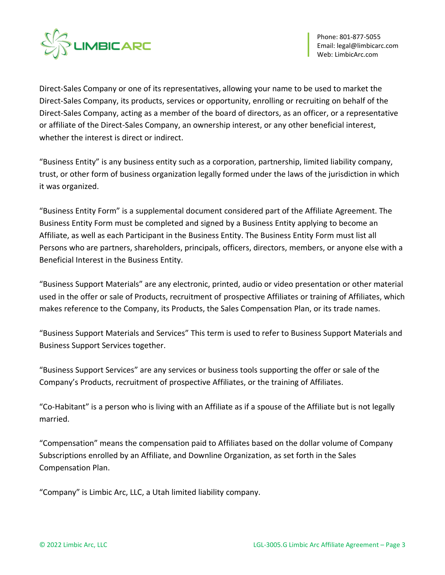

Direct-Sales Company or one of its representatives, allowing your name to be used to market the Direct-Sales Company, its products, services or opportunity, enrolling or recruiting on behalf of the Direct-Sales Company, acting as a member of the board of directors, as an officer, or a representative or affiliate of the Direct-Sales Company, an ownership interest, or any other beneficial interest, whether the interest is direct or indirect.

"Business Entity" is any business entity such as a corporation, partnership, limited liability company, trust, or other form of business organization legally formed under the laws of the jurisdiction in which it was organized.

"Business Entity Form" is a supplemental document considered part of the Affiliate Agreement. The Business Entity Form must be completed and signed by a Business Entity applying to become an Affiliate, as well as each Participant in the Business Entity. The Business Entity Form must list all Persons who are partners, shareholders, principals, officers, directors, members, or anyone else with a Beneficial Interest in the Business Entity.

"Business Support Materials" are any electronic, printed, audio or video presentation or other material used in the offer or sale of Products, recruitment of prospective Affiliates or training of Affiliates, which makes reference to the Company, its Products, the Sales Compensation Plan, or its trade names.

"Business Support Materials and Services" This term is used to refer to Business Support Materials and Business Support Services together.

"Business Support Services" are any services or business tools supporting the offer or sale of the Company's Products, recruitment of prospective Affiliates, or the training of Affiliates.

"Co-Habitant" is a person who is living with an Affiliate as if a spouse of the Affiliate but is not legally married.

"Compensation" means the compensation paid to Affiliates based on the dollar volume of Company Subscriptions enrolled by an Affiliate, and Downline Organization, as set forth in the Sales Compensation Plan.

"Company" is Limbic Arc, LLC, a Utah limited liability company.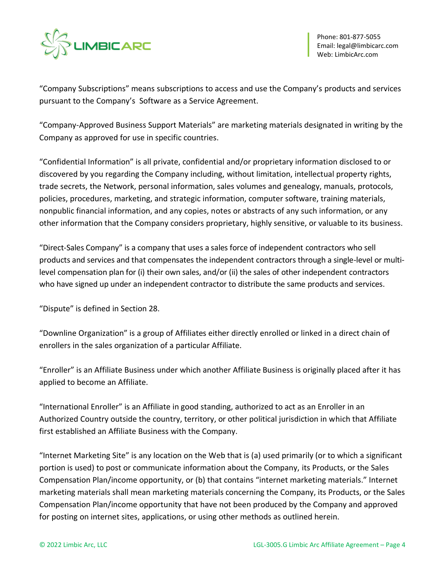

"Company Subscriptions" means subscriptions to access and use the Company's products and services pursuant to the Company's Software as a Service Agreement.

"Company-Approved Business Support Materials" are marketing materials designated in writing by the Company as approved for use in specific countries.

"Confidential Information" is all private, confidential and/or proprietary information disclosed to or discovered by you regarding the Company including, without limitation, intellectual property rights, trade secrets, the Network, personal information, sales volumes and genealogy, manuals, protocols, policies, procedures, marketing, and strategic information, computer software, training materials, nonpublic financial information, and any copies, notes or abstracts of any such information, or any other information that the Company considers proprietary, highly sensitive, or valuable to its business.

"Direct-Sales Company" is a company that uses a sales force of independent contractors who sell products and services and that compensates the independent contractors through a single-level or multilevel compensation plan for (i) their own sales, and/or (ii) the sales of other independent contractors who have signed up under an independent contractor to distribute the same products and services.

"Dispute" is defined in Section 28.

"Downline Organization" is a group of Affiliates either directly enrolled or linked in a direct chain of enrollers in the sales organization of a particular Affiliate.

"Enroller" is an Affiliate Business under which another Affiliate Business is originally placed after it has applied to become an Affiliate.

"International Enroller" is an Affiliate in good standing, authorized to act as an Enroller in an Authorized Country outside the country, territory, or other political jurisdiction in which that Affiliate first established an Affiliate Business with the Company.

"Internet Marketing Site" is any location on the Web that is (a) used primarily (or to which a significant portion is used) to post or communicate information about the Company, its Products, or the Sales Compensation Plan/income opportunity, or (b) that contains "internet marketing materials." Internet marketing materials shall mean marketing materials concerning the Company, its Products, or the Sales Compensation Plan/income opportunity that have not been produced by the Company and approved for posting on internet sites, applications, or using other methods as outlined herein.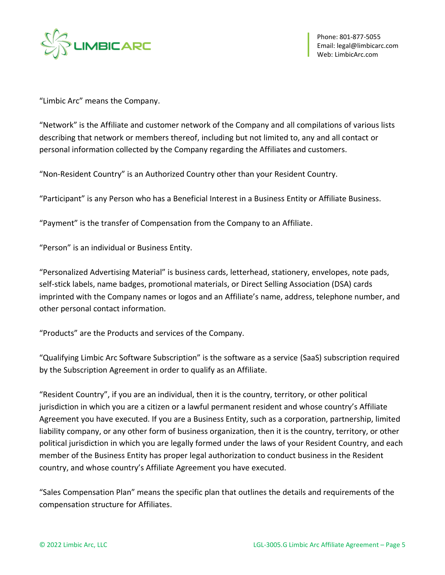

"Limbic Arc" means the Company.

"Network" is the Affiliate and customer network of the Company and all compilations of various lists describing that network or members thereof, including but not limited to, any and all contact or personal information collected by the Company regarding the Affiliates and customers.

"Non-Resident Country" is an Authorized Country other than your Resident Country.

"Participant" is any Person who has a Beneficial Interest in a Business Entity or Affiliate Business.

"Payment" is the transfer of Compensation from the Company to an Affiliate.

"Person" is an individual or Business Entity.

"Personalized Advertising Material" is business cards, letterhead, stationery, envelopes, note pads, self-stick labels, name badges, promotional materials, or Direct Selling Association (DSA) cards imprinted with the Company names or logos and an Affiliate's name, address, telephone number, and other personal contact information.

"Products" are the Products and services of the Company.

"Qualifying Limbic Arc Software Subscription" is the software as a service (SaaS) subscription required by the Subscription Agreement in order to qualify as an Affiliate.

"Resident Country", if you are an individual, then it is the country, territory, or other political jurisdiction in which you are a citizen or a lawful permanent resident and whose country's Affiliate Agreement you have executed. If you are a Business Entity, such as a corporation, partnership, limited liability company, or any other form of business organization, then it is the country, territory, or other political jurisdiction in which you are legally formed under the laws of your Resident Country, and each member of the Business Entity has proper legal authorization to conduct business in the Resident country, and whose country's Affiliate Agreement you have executed.

"Sales Compensation Plan" means the specific plan that outlines the details and requirements of the compensation structure for Affiliates.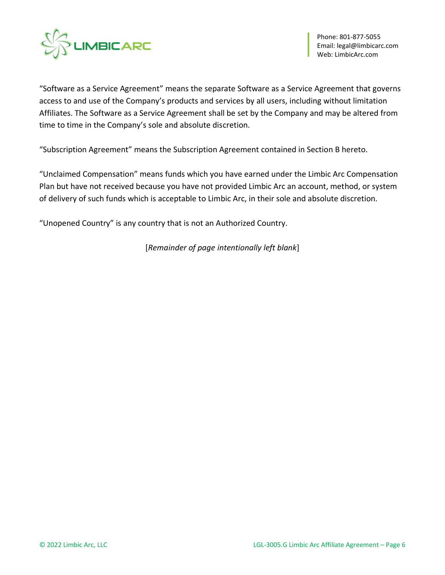

"Software as a Service Agreement" means the separate Software as a Service Agreement that governs access to and use of the Company's products and services by all users, including without limitation Affiliates. The Software as a Service Agreement shall be set by the Company and may be altered from time to time in the Company's sole and absolute discretion.

"Subscription Agreement" means the Subscription Agreement contained in Section B hereto.

"Unclaimed Compensation" means funds which you have earned under the Limbic Arc Compensation Plan but have not received because you have not provided Limbic Arc an account, method, or system of delivery of such funds which is acceptable to Limbic Arc, in their sole and absolute discretion.

"Unopened Country" is any country that is not an Authorized Country.

[*Remainder of page intentionally left blank*]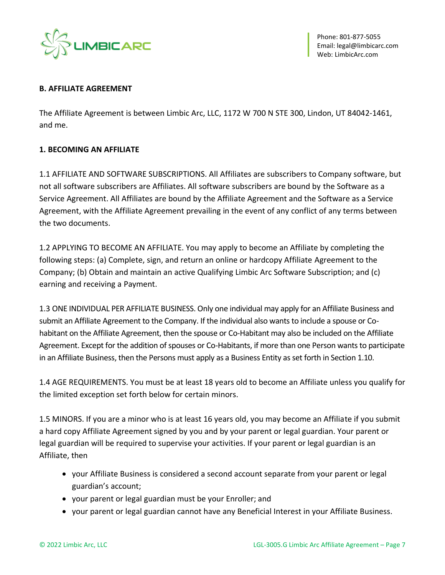

#### **B. AFFILIATE AGREEMENT**

The Affiliate Agreement is between Limbic Arc, LLC, 1172 W 700 N STE 300, Lindon, UT 84042-1461, and me.

### **1. BECOMING AN AFFILIATE**

1.1 AFFILIATE AND SOFTWARE SUBSCRIPTIONS. All Affiliates are subscribers to Company software, but not all software subscribers are Affiliates. All software subscribers are bound by the Software as a Service Agreement. All Affiliates are bound by the Affiliate Agreement and the Software as a Service Agreement, with the Affiliate Agreement prevailing in the event of any conflict of any terms between the two documents.

1.2 APPLYING TO BECOME AN AFFILIATE. You may apply to become an Affiliate by completing the following steps: (a) Complete, sign, and return an online or hardcopy Affiliate Agreement to the Company; (b) Obtain and maintain an active Qualifying Limbic Arc Software Subscription; and (c) earning and receiving a Payment.

1.3 ONE INDIVIDUAL PER AFFILIATE BUSINESS. Only one individual may apply for an Affiliate Business and submit an Affiliate Agreement to the Company. If the individual also wants to include a spouse or Cohabitant on the Affiliate Agreement, then the spouse or Co-Habitant may also be included on the Affiliate Agreement. Except for the addition of spouses or Co-Habitants, if more than one Person wants to participate in an Affiliate Business, then the Persons must apply as a Business Entity as set forth in Section 1.10.

1.4 AGE REQUIREMENTS. You must be at least 18 years old to become an Affiliate unless you qualify for the limited exception set forth below for certain minors.

1.5 MINORS. If you are a minor who is at least 16 years old, you may become an Affiliate if you submit a hard copy Affiliate Agreement signed by you and by your parent or legal guardian. Your parent or legal guardian will be required to supervise your activities. If your parent or legal guardian is an Affiliate, then

- your Affiliate Business is considered a second account separate from your parent or legal guardian's account;
- your parent or legal guardian must be your Enroller; and
- your parent or legal guardian cannot have any Beneficial Interest in your Affiliate Business.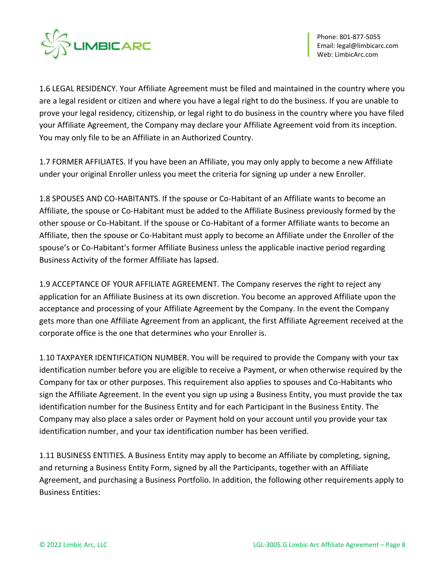

1.6 LEGAL RESIDENCY. Your Affiliate Agreement must be filed and maintained in the country where you are a legal resident or citizen and where you have a legal right to do the business. If you are unable to prove your legal residency, citizenship, or legal right to do business in the country where you have filed your Affiliate Agreement, the Company may declare your Affiliate Agreement void from its inception. You may only file to be an Affiliate in an Authorized Country.

1.7 FORMER AFFILIATES. If you have been an Affiliate, you may only apply to become a new Affiliate under your original Enroller unless you meet the criteria for signing up under a new Enroller.

1.8 SPOUSES AND CO-HABITANTS. If the spouse or Co-Habitant of an Affiliate wants to become an Affiliate, the spouse or Co-Habitant must be added to the Affiliate Business previously formed by the other spouse or Co-Habitant. If the spouse or Co-Habitant of a former Affiliate wants to become an Affiliate, then the spouse or Co-Habitant must apply to become an Affiliate under the Enroller of the spouse's or Co-Habitant's former Affiliate Business unless the applicable inactive period regarding Business Activity of the former Affiliate has lapsed.

1.9 ACCEPTANCE OF YOUR AFFILIATE AGREEMENT. The Company reserves the right to reject any application for an Affiliate Business at its own discretion. You become an approved Affiliate upon the acceptance and processing of your Affiliate Agreement by the Company. In the event the Company gets more than one Affiliate Agreement from an applicant, the first Affiliate Agreement received at the corporate office is the one that determines who your Enroller is.

1.10 TAXPAYER IDENTIFICATION NUMBER. You will be required to provide the Company with your tax identification number before you are eligible to receive a Payment, or when otherwise required by the Company for tax or other purposes. This requirement also applies to spouses and Co-Habitants who sign the Affiliate Agreement. In the event you sign up using a Business Entity, you must provide the tax identification number for the Business Entity and for each Participant in the Business Entity. The Company may also place a sales order or Payment hold on your account until you provide your tax identification number, and your tax identification number has been verified.

1.11 BUSINESS ENTITIES. A Business Entity may apply to become an Affiliate by completing, signing, and returning a Business Entity Form, signed by all the Participants, together with an Affiliate Agreement, and purchasing a Business Portfolio. In addition, the following other requirements apply to Business Entities: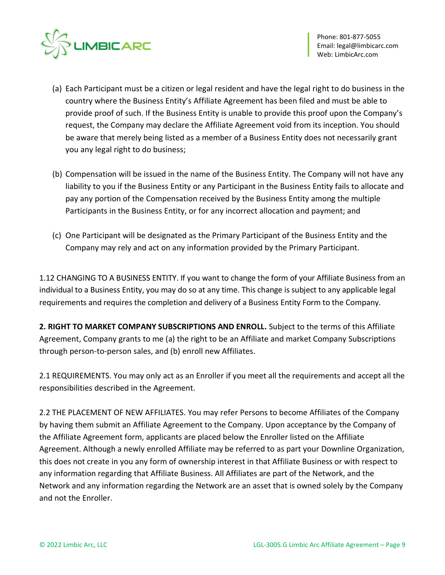

- (a) Each Participant must be a citizen or legal resident and have the legal right to do business in the country where the Business Entity's Affiliate Agreement has been filed and must be able to provide proof of such. If the Business Entity is unable to provide this proof upon the Company's request, the Company may declare the Affiliate Agreement void from its inception. You should be aware that merely being listed as a member of a Business Entity does not necessarily grant you any legal right to do business;
- (b) Compensation will be issued in the name of the Business Entity. The Company will not have any liability to you if the Business Entity or any Participant in the Business Entity fails to allocate and pay any portion of the Compensation received by the Business Entity among the multiple Participants in the Business Entity, or for any incorrect allocation and payment; and
- (c) One Participant will be designated as the Primary Participant of the Business Entity and the Company may rely and act on any information provided by the Primary Participant.

1.12 CHANGING TO A BUSINESS ENTITY. If you want to change the form of your Affiliate Business from an individual to a Business Entity, you may do so at any time. This change is subject to any applicable legal requirements and requires the completion and delivery of a Business Entity Form to the Company.

**2. RIGHT TO MARKET COMPANY SUBSCRIPTIONS AND ENROLL.** Subject to the terms of this Affiliate Agreement, Company grants to me (a) the right to be an Affiliate and market Company Subscriptions through person-to-person sales, and (b) enroll new Affiliates.

2.1 REQUIREMENTS. You may only act as an Enroller if you meet all the requirements and accept all the responsibilities described in the Agreement.

2.2 THE PLACEMENT OF NEW AFFILIATES. You may refer Persons to become Affiliates of the Company by having them submit an Affiliate Agreement to the Company. Upon acceptance by the Company of the Affiliate Agreement form, applicants are placed below the Enroller listed on the Affiliate Agreement. Although a newly enrolled Affiliate may be referred to as part your Downline Organization, this does not create in you any form of ownership interest in that Affiliate Business or with respect to any information regarding that Affiliate Business. All Affiliates are part of the Network, and the Network and any information regarding the Network are an asset that is owned solely by the Company and not the Enroller.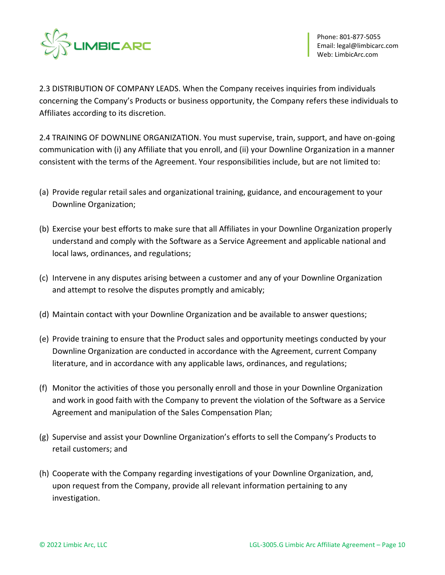

2.3 DISTRIBUTION OF COMPANY LEADS. When the Company receives inquiries from individuals concerning the Company's Products or business opportunity, the Company refers these individuals to Affiliates according to its discretion.

2.4 TRAINING OF DOWNLINE ORGANIZATION. You must supervise, train, support, and have on-going communication with (i) any Affiliate that you enroll, and (ii) your Downline Organization in a manner consistent with the terms of the Agreement. Your responsibilities include, but are not limited to:

- (a) Provide regular retail sales and organizational training, guidance, and encouragement to your Downline Organization;
- (b) Exercise your best efforts to make sure that all Affiliates in your Downline Organization properly understand and comply with the Software as a Service Agreement and applicable national and local laws, ordinances, and regulations;
- (c) Intervene in any disputes arising between a customer and any of your Downline Organization and attempt to resolve the disputes promptly and amicably;
- (d) Maintain contact with your Downline Organization and be available to answer questions;
- (e) Provide training to ensure that the Product sales and opportunity meetings conducted by your Downline Organization are conducted in accordance with the Agreement, current Company literature, and in accordance with any applicable laws, ordinances, and regulations;
- (f) Monitor the activities of those you personally enroll and those in your Downline Organization and work in good faith with the Company to prevent the violation of the Software as a Service Agreement and manipulation of the Sales Compensation Plan;
- (g) Supervise and assist your Downline Organization's efforts to sell the Company's Products to retail customers; and
- (h) Cooperate with the Company regarding investigations of your Downline Organization, and, upon request from the Company, provide all relevant information pertaining to any investigation.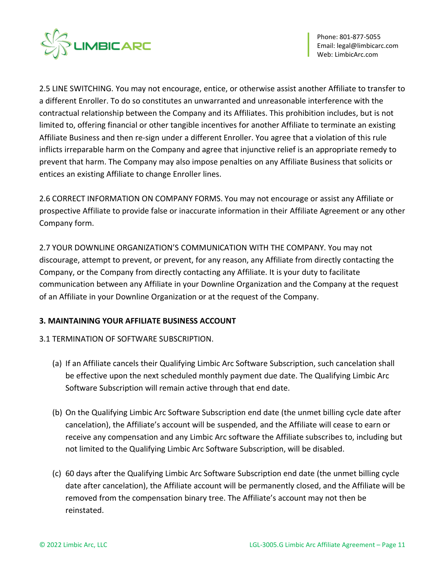

2.5 LINE SWITCHING. You may not encourage, entice, or otherwise assist another Affiliate to transfer to a different Enroller. To do so constitutes an unwarranted and unreasonable interference with the contractual relationship between the Company and its Affiliates. This prohibition includes, but is not limited to, offering financial or other tangible incentives for another Affiliate to terminate an existing Affiliate Business and then re-sign under a different Enroller. You agree that a violation of this rule inflicts irreparable harm on the Company and agree that injunctive relief is an appropriate remedy to prevent that harm. The Company may also impose penalties on any Affiliate Business that solicits or entices an existing Affiliate to change Enroller lines.

2.6 CORRECT INFORMATION ON COMPANY FORMS. You may not encourage or assist any Affiliate or prospective Affiliate to provide false or inaccurate information in their Affiliate Agreement or any other Company form.

2.7 YOUR DOWNLINE ORGANIZATION'S COMMUNICATION WITH THE COMPANY. You may not discourage, attempt to prevent, or prevent, for any reason, any Affiliate from directly contacting the Company, or the Company from directly contacting any Affiliate. It is your duty to facilitate communication between any Affiliate in your Downline Organization and the Company at the request of an Affiliate in your Downline Organization or at the request of the Company.

# **3. MAINTAINING YOUR AFFILIATE BUSINESS ACCOUNT**

# 3.1 TERMINATION OF SOFTWARE SUBSCRIPTION.

- (a) If an Affiliate cancels their Qualifying Limbic Arc Software Subscription, such cancelation shall be effective upon the next scheduled monthly payment due date. The Qualifying Limbic Arc Software Subscription will remain active through that end date.
- (b) On the Qualifying Limbic Arc Software Subscription end date (the unmet billing cycle date after cancelation), the Affiliate's account will be suspended, and the Affiliate will cease to earn or receive any compensation and any Limbic Arc software the Affiliate subscribes to, including but not limited to the Qualifying Limbic Arc Software Subscription, will be disabled.
- (c) 60 days after the Qualifying Limbic Arc Software Subscription end date (the unmet billing cycle date after cancelation), the Affiliate account will be permanently closed, and the Affiliate will be removed from the compensation binary tree. The Affiliate's account may not then be reinstated.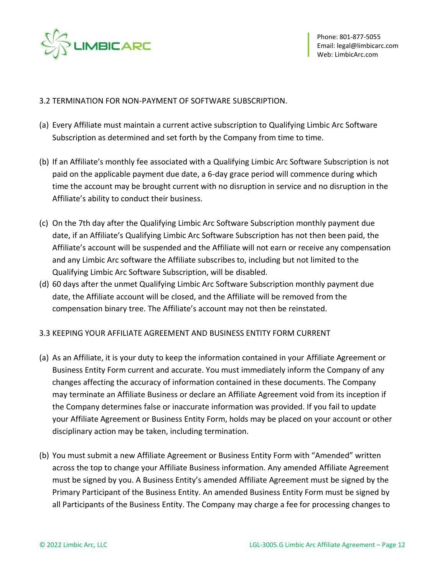

### 3.2 TERMINATION FOR NON-PAYMENT OF SOFTWARE SUBSCRIPTION.

- (a) Every Affiliate must maintain a current active subscription to Qualifying Limbic Arc Software Subscription as determined and set forth by the Company from time to time.
- (b) If an Affiliate's monthly fee associated with a Qualifying Limbic Arc Software Subscription is not paid on the applicable payment due date, a 6-day grace period will commence during which time the account may be brought current with no disruption in service and no disruption in the Affiliate's ability to conduct their business.
- (c) On the 7th day after the Qualifying Limbic Arc Software Subscription monthly payment due date, if an Affiliate's Qualifying Limbic Arc Software Subscription has not then been paid, the Affiliate's account will be suspended and the Affiliate will not earn or receive any compensation and any Limbic Arc software the Affiliate subscribes to, including but not limited to the Qualifying Limbic Arc Software Subscription, will be disabled.
- (d) 60 days after the unmet Qualifying Limbic Arc Software Subscription monthly payment due date, the Affiliate account will be closed, and the Affiliate will be removed from the compensation binary tree. The Affiliate's account may not then be reinstated.
- 3.3 KEEPING YOUR AFFILIATE AGREEMENT AND BUSINESS ENTITY FORM CURRENT
- (a) As an Affiliate, it is your duty to keep the information contained in your Affiliate Agreement or Business Entity Form current and accurate. You must immediately inform the Company of any changes affecting the accuracy of information contained in these documents. The Company may terminate an Affiliate Business or declare an Affiliate Agreement void from its inception if the Company determines false or inaccurate information was provided. If you fail to update your Affiliate Agreement or Business Entity Form, holds may be placed on your account or other disciplinary action may be taken, including termination.
- (b) You must submit a new Affiliate Agreement or Business Entity Form with "Amended" written across the top to change your Affiliate Business information. Any amended Affiliate Agreement must be signed by you. A Business Entity's amended Affiliate Agreement must be signed by the Primary Participant of the Business Entity. An amended Business Entity Form must be signed by all Participants of the Business Entity. The Company may charge a fee for processing changes to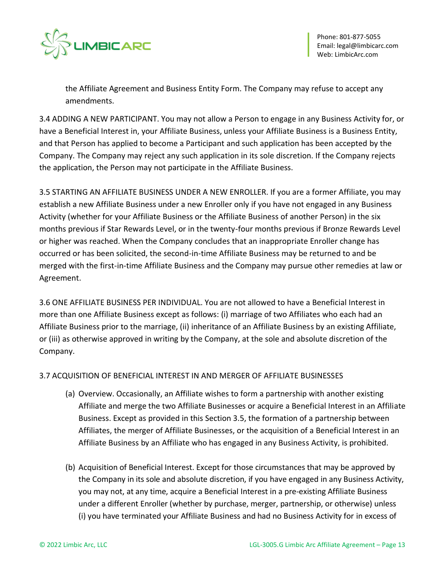

the Affiliate Agreement and Business Entity Form. The Company may refuse to accept any amendments.

3.4 ADDING A NEW PARTICIPANT. You may not allow a Person to engage in any Business Activity for, or have a Beneficial Interest in, your Affiliate Business, unless your Affiliate Business is a Business Entity, and that Person has applied to become a Participant and such application has been accepted by the Company. The Company may reject any such application in its sole discretion. If the Company rejects the application, the Person may not participate in the Affiliate Business.

3.5 STARTING AN AFFILIATE BUSINESS UNDER A NEW ENROLLER. If you are a former Affiliate, you may establish a new Affiliate Business under a new Enroller only if you have not engaged in any Business Activity (whether for your Affiliate Business or the Affiliate Business of another Person) in the six months previous if Star Rewards Level, or in the twenty-four months previous if Bronze Rewards Level or higher was reached. When the Company concludes that an inappropriate Enroller change has occurred or has been solicited, the second-in-time Affiliate Business may be returned to and be merged with the first-in-time Affiliate Business and the Company may pursue other remedies at law or Agreement.

3.6 ONE AFFILIATE BUSINESS PER INDIVIDUAL. You are not allowed to have a Beneficial Interest in more than one Affiliate Business except as follows: (i) marriage of two Affiliates who each had an Affiliate Business prior to the marriage, (ii) inheritance of an Affiliate Business by an existing Affiliate, or (iii) as otherwise approved in writing by the Company, at the sole and absolute discretion of the Company.

# 3.7 ACQUISITION OF BENEFICIAL INTEREST IN AND MERGER OF AFFILIATE BUSINESSES

- (a) Overview. Occasionally, an Affiliate wishes to form a partnership with another existing Affiliate and merge the two Affiliate Businesses or acquire a Beneficial Interest in an Affiliate Business. Except as provided in this Section 3.5, the formation of a partnership between Affiliates, the merger of Affiliate Businesses, or the acquisition of a Beneficial Interest in an Affiliate Business by an Affiliate who has engaged in any Business Activity, is prohibited.
- (b) Acquisition of Beneficial Interest. Except for those circumstances that may be approved by the Company in its sole and absolute discretion, if you have engaged in any Business Activity, you may not, at any time, acquire a Beneficial Interest in a pre-existing Affiliate Business under a different Enroller (whether by purchase, merger, partnership, or otherwise) unless (i) you have terminated your Affiliate Business and had no Business Activity for in excess of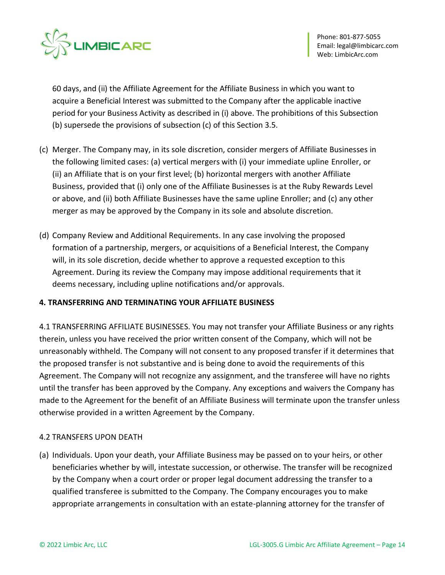

60 days, and (ii) the Affiliate Agreement for the Affiliate Business in which you want to acquire a Beneficial Interest was submitted to the Company after the applicable inactive period for your Business Activity as described in (i) above. The prohibitions of this Subsection (b) supersede the provisions of subsection (c) of this Section 3.5.

- (c) Merger. The Company may, in its sole discretion, consider mergers of Affiliate Businesses in the following limited cases: (a) vertical mergers with (i) your immediate upline Enroller, or (ii) an Affiliate that is on your first level; (b) horizontal mergers with another Affiliate Business, provided that (i) only one of the Affiliate Businesses is at the Ruby Rewards Level or above, and (ii) both Affiliate Businesses have the same upline Enroller; and (c) any other merger as may be approved by the Company in its sole and absolute discretion.
- (d) Company Review and Additional Requirements. In any case involving the proposed formation of a partnership, mergers, or acquisitions of a Beneficial Interest, the Company will, in its sole discretion, decide whether to approve a requested exception to this Agreement. During its review the Company may impose additional requirements that it deems necessary, including upline notifications and/or approvals.

### **4. TRANSFERRING AND TERMINATING YOUR AFFILIATE BUSINESS**

4.1 TRANSFERRING AFFILIATE BUSINESSES. You may not transfer your Affiliate Business or any rights therein, unless you have received the prior written consent of the Company, which will not be unreasonably withheld. The Company will not consent to any proposed transfer if it determines that the proposed transfer is not substantive and is being done to avoid the requirements of this Agreement. The Company will not recognize any assignment, and the transferee will have no rights until the transfer has been approved by the Company. Any exceptions and waivers the Company has made to the Agreement for the benefit of an Affiliate Business will terminate upon the transfer unless otherwise provided in a written Agreement by the Company.

# 4.2 TRANSFERS UPON DEATH

(a) Individuals. Upon your death, your Affiliate Business may be passed on to your heirs, or other beneficiaries whether by will, intestate succession, or otherwise. The transfer will be recognized by the Company when a court order or proper legal document addressing the transfer to a qualified transferee is submitted to the Company. The Company encourages you to make appropriate arrangements in consultation with an estate-planning attorney for the transfer of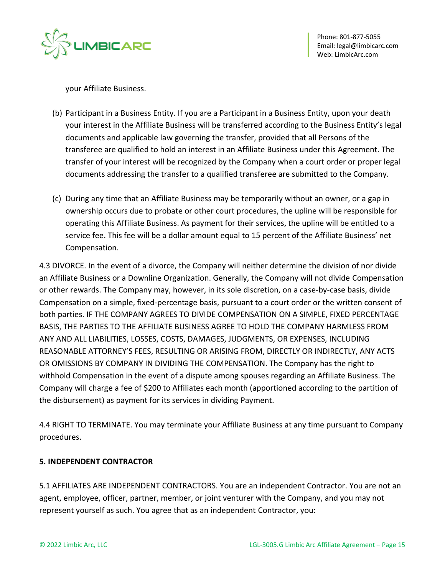

your Affiliate Business.

- (b) Participant in a Business Entity. If you are a Participant in a Business Entity, upon your death your interest in the Affiliate Business will be transferred according to the Business Entity's legal documents and applicable law governing the transfer, provided that all Persons of the transferee are qualified to hold an interest in an Affiliate Business under this Agreement. The transfer of your interest will be recognized by the Company when a court order or proper legal documents addressing the transfer to a qualified transferee are submitted to the Company.
- (c) During any time that an Affiliate Business may be temporarily without an owner, or a gap in ownership occurs due to probate or other court procedures, the upline will be responsible for operating this Affiliate Business. As payment for their services, the upline will be entitled to a service fee. This fee will be a dollar amount equal to 15 percent of the Affiliate Business' net Compensation.

4.3 DIVORCE. In the event of a divorce, the Company will neither determine the division of nor divide an Affiliate Business or a Downline Organization. Generally, the Company will not divide Compensation or other rewards. The Company may, however, in its sole discretion, on a case-by-case basis, divide Compensation on a simple, fixed-percentage basis, pursuant to a court order or the written consent of both parties. IF THE COMPANY AGREES TO DIVIDE COMPENSATION ON A SIMPLE, FIXED PERCENTAGE BASIS, THE PARTIES TO THE AFFILIATE BUSINESS AGREE TO HOLD THE COMPANY HARMLESS FROM ANY AND ALL LIABILITIES, LOSSES, COSTS, DAMAGES, JUDGMENTS, OR EXPENSES, INCLUDING REASONABLE ATTORNEY'S FEES, RESULTING OR ARISING FROM, DIRECTLY OR INDIRECTLY, ANY ACTS OR OMISSIONS BY COMPANY IN DIVIDING THE COMPENSATION. The Company has the right to withhold Compensation in the event of a dispute among spouses regarding an Affiliate Business. The Company will charge a fee of \$200 to Affiliates each month (apportioned according to the partition of the disbursement) as payment for its services in dividing Payment.

4.4 RIGHT TO TERMINATE. You may terminate your Affiliate Business at any time pursuant to Company procedures.

# **5. INDEPENDENT CONTRACTOR**

5.1 AFFILIATES ARE INDEPENDENT CONTRACTORS. You are an independent Contractor. You are not an agent, employee, officer, partner, member, or joint venturer with the Company, and you may not represent yourself as such. You agree that as an independent Contractor, you: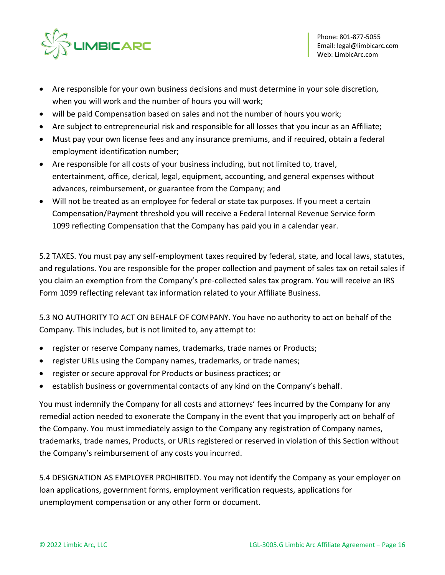

- Are responsible for your own business decisions and must determine in your sole discretion, when you will work and the number of hours you will work;
- will be paid Compensation based on sales and not the number of hours you work;
- Are subject to entrepreneurial risk and responsible for all losses that you incur as an Affiliate;
- Must pay your own license fees and any insurance premiums, and if required, obtain a federal employment identification number;
- Are responsible for all costs of your business including, but not limited to, travel, entertainment, office, clerical, legal, equipment, accounting, and general expenses without advances, reimbursement, or guarantee from the Company; and
- Will not be treated as an employee for federal or state tax purposes. If you meet a certain Compensation/Payment threshold you will receive a Federal Internal Revenue Service form 1099 reflecting Compensation that the Company has paid you in a calendar year.

5.2 TAXES. You must pay any self-employment taxes required by federal, state, and local laws, statutes, and regulations. You are responsible for the proper collection and payment of sales tax on retail sales if you claim an exemption from the Company's pre-collected sales tax program. You will receive an IRS Form 1099 reflecting relevant tax information related to your Affiliate Business.

5.3 NO AUTHORITY TO ACT ON BEHALF OF COMPANY. You have no authority to act on behalf of the Company. This includes, but is not limited to, any attempt to:

- register or reserve Company names, trademarks, trade names or Products;
- register URLs using the Company names, trademarks, or trade names;
- register or secure approval for Products or business practices; or
- establish business or governmental contacts of any kind on the Company's behalf.

You must indemnify the Company for all costs and attorneys' fees incurred by the Company for any remedial action needed to exonerate the Company in the event that you improperly act on behalf of the Company. You must immediately assign to the Company any registration of Company names, trademarks, trade names, Products, or URLs registered or reserved in violation of this Section without the Company's reimbursement of any costs you incurred.

5.4 DESIGNATION AS EMPLOYER PROHIBITED. You may not identify the Company as your employer on loan applications, government forms, employment verification requests, applications for unemployment compensation or any other form or document.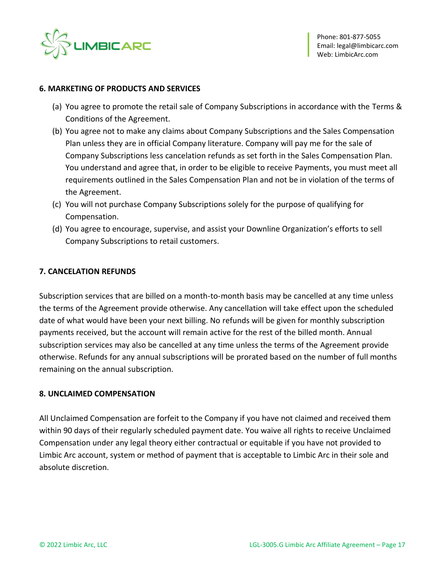

#### **6. MARKETING OF PRODUCTS AND SERVICES**

- (a) You agree to promote the retail sale of Company Subscriptions in accordance with the Terms & Conditions of the Agreement.
- (b) You agree not to make any claims about Company Subscriptions and the Sales Compensation Plan unless they are in official Company literature. Company will pay me for the sale of Company Subscriptions less cancelation refunds as set forth in the Sales Compensation Plan. You understand and agree that, in order to be eligible to receive Payments, you must meet all requirements outlined in the Sales Compensation Plan and not be in violation of the terms of the Agreement.
- (c) You will not purchase Company Subscriptions solely for the purpose of qualifying for Compensation.
- (d) You agree to encourage, supervise, and assist your Downline Organization's efforts to sell Company Subscriptions to retail customers.

### **7. CANCELATION REFUNDS**

Subscription services that are billed on a month-to-month basis may be cancelled at any time unless the terms of the Agreement provide otherwise. Any cancellation will take effect upon the scheduled date of what would have been your next billing. No refunds will be given for monthly subscription payments received, but the account will remain active for the rest of the billed month. Annual subscription services may also be cancelled at any time unless the terms of the Agreement provide otherwise. Refunds for any annual subscriptions will be prorated based on the number of full months remaining on the annual subscription.

### **8. UNCLAIMED COMPENSATION**

All Unclaimed Compensation are forfeit to the Company if you have not claimed and received them within 90 days of their regularly scheduled payment date. You waive all rights to receive Unclaimed Compensation under any legal theory either contractual or equitable if you have not provided to Limbic Arc account, system or method of payment that is acceptable to Limbic Arc in their sole and absolute discretion.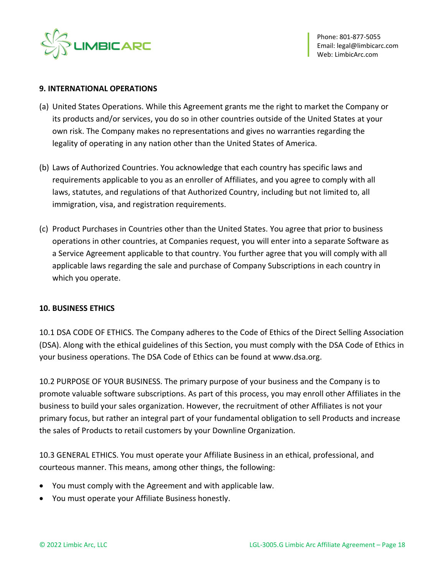

#### **9. INTERNATIONAL OPERATIONS**

- (a) United States Operations. While this Agreement grants me the right to market the Company or its products and/or services, you do so in other countries outside of the United States at your own risk. The Company makes no representations and gives no warranties regarding the legality of operating in any nation other than the United States of America.
- (b) Laws of Authorized Countries. You acknowledge that each country has specific laws and requirements applicable to you as an enroller of Affiliates, and you agree to comply with all laws, statutes, and regulations of that Authorized Country, including but not limited to, all immigration, visa, and registration requirements.
- (c) Product Purchases in Countries other than the United States. You agree that prior to business operations in other countries, at Companies request, you will enter into a separate Software as a Service Agreement applicable to that country. You further agree that you will comply with all applicable laws regarding the sale and purchase of Company Subscriptions in each country in which you operate.

### **10. BUSINESS ETHICS**

10.1 DSA CODE OF ETHICS. The Company adheres to the Code of Ethics of the Direct Selling Association (DSA). Along with the ethical guidelines of this Section, you must comply with the DSA Code of Ethics in your business operations. The DSA Code of Ethics can be found at www.dsa.org.

10.2 PURPOSE OF YOUR BUSINESS. The primary purpose of your business and the Company is to promote valuable software subscriptions. As part of this process, you may enroll other Affiliates in the business to build your sales organization. However, the recruitment of other Affiliates is not your primary focus, but rather an integral part of your fundamental obligation to sell Products and increase the sales of Products to retail customers by your Downline Organization.

10.3 GENERAL ETHICS. You must operate your Affiliate Business in an ethical, professional, and courteous manner. This means, among other things, the following:

- You must comply with the Agreement and with applicable law.
- You must operate your Affiliate Business honestly.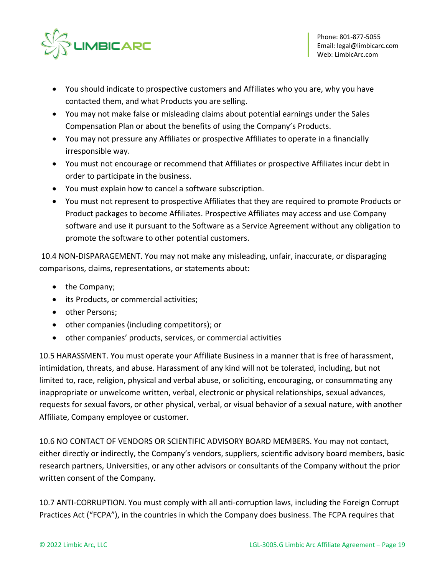

- You should indicate to prospective customers and Affiliates who you are, why you have contacted them, and what Products you are selling.
- You may not make false or misleading claims about potential earnings under the Sales Compensation Plan or about the benefits of using the Company's Products.
- You may not pressure any Affiliates or prospective Affiliates to operate in a financially irresponsible way.
- You must not encourage or recommend that Affiliates or prospective Affiliates incur debt in order to participate in the business.
- You must explain how to cancel a software subscription.
- You must not represent to prospective Affiliates that they are required to promote Products or Product packages to become Affiliates. Prospective Affiliates may access and use Company software and use it pursuant to the Software as a Service Agreement without any obligation to promote the software to other potential customers.

10.4 NON-DISPARAGEMENT. You may not make any misleading, unfair, inaccurate, or disparaging comparisons, claims, representations, or statements about:

- the Company;
- its Products, or commercial activities;
- other Persons;
- other companies (including competitors); or
- other companies' products, services, or commercial activities

10.5 HARASSMENT. You must operate your Affiliate Business in a manner that is free of harassment, intimidation, threats, and abuse. Harassment of any kind will not be tolerated, including, but not limited to, race, religion, physical and verbal abuse, or soliciting, encouraging, or consummating any inappropriate or unwelcome written, verbal, electronic or physical relationships, sexual advances, requests for sexual favors, or other physical, verbal, or visual behavior of a sexual nature, with another Affiliate, Company employee or customer.

10.6 NO CONTACT OF VENDORS OR SCIENTIFIC ADVISORY BOARD MEMBERS. You may not contact, either directly or indirectly, the Company's vendors, suppliers, scientific advisory board members, basic research partners, Universities, or any other advisors or consultants of the Company without the prior written consent of the Company.

10.7 ANTI-CORRUPTION. You must comply with all anti-corruption laws, including the Foreign Corrupt Practices Act ("FCPA"), in the countries in which the Company does business. The FCPA requires that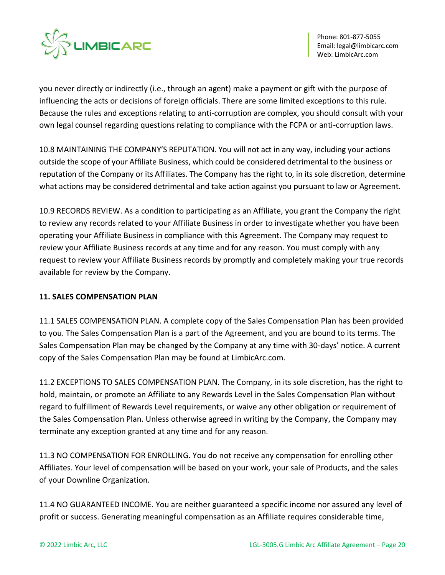

you never directly or indirectly (i.e., through an agent) make a payment or gift with the purpose of influencing the acts or decisions of foreign officials. There are some limited exceptions to this rule. Because the rules and exceptions relating to anti-corruption are complex, you should consult with your own legal counsel regarding questions relating to compliance with the FCPA or anti-corruption laws.

10.8 MAINTAINING THE COMPANY'S REPUTATION. You will not act in any way, including your actions outside the scope of your Affiliate Business, which could be considered detrimental to the business or reputation of the Company or its Affiliates. The Company has the right to, in its sole discretion, determine what actions may be considered detrimental and take action against you pursuant to law or Agreement.

10.9 RECORDS REVIEW. As a condition to participating as an Affiliate, you grant the Company the right to review any records related to your Affiliate Business in order to investigate whether you have been operating your Affiliate Business in compliance with this Agreement. The Company may request to review your Affiliate Business records at any time and for any reason. You must comply with any request to review your Affiliate Business records by promptly and completely making your true records available for review by the Company.

# **11. SALES COMPENSATION PLAN**

11.1 SALES COMPENSATION PLAN. A complete copy of the Sales Compensation Plan has been provided to you. The Sales Compensation Plan is a part of the Agreement, and you are bound to its terms. The Sales Compensation Plan may be changed by the Company at any time with 30-days' notice. A current copy of the Sales Compensation Plan may be found at LimbicArc.com.

11.2 EXCEPTIONS TO SALES COMPENSATION PLAN. The Company, in its sole discretion, has the right to hold, maintain, or promote an Affiliate to any Rewards Level in the Sales Compensation Plan without regard to fulfillment of Rewards Level requirements, or waive any other obligation or requirement of the Sales Compensation Plan. Unless otherwise agreed in writing by the Company, the Company may terminate any exception granted at any time and for any reason.

11.3 NO COMPENSATION FOR ENROLLING. You do not receive any compensation for enrolling other Affiliates. Your level of compensation will be based on your work, your sale of Products, and the sales of your Downline Organization.

11.4 NO GUARANTEED INCOME. You are neither guaranteed a specific income nor assured any level of profit or success. Generating meaningful compensation as an Affiliate requires considerable time,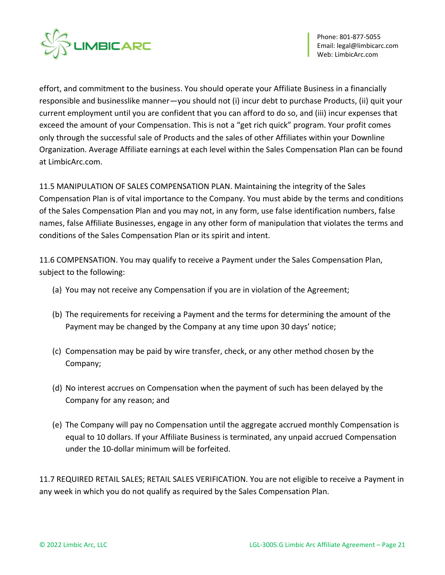

effort, and commitment to the business. You should operate your Affiliate Business in a financially responsible and businesslike manner—you should not (i) incur debt to purchase Products, (ii) quit your current employment until you are confident that you can afford to do so, and (iii) incur expenses that exceed the amount of your Compensation. This is not a "get rich quick" program. Your profit comes only through the successful sale of Products and the sales of other Affiliates within your Downline Organization. Average Affiliate earnings at each level within the Sales Compensation Plan can be found at LimbicArc.com.

11.5 MANIPULATION OF SALES COMPENSATION PLAN. Maintaining the integrity of the Sales Compensation Plan is of vital importance to the Company. You must abide by the terms and conditions of the Sales Compensation Plan and you may not, in any form, use false identification numbers, false names, false Affiliate Businesses, engage in any other form of manipulation that violates the terms and conditions of the Sales Compensation Plan or its spirit and intent.

11.6 COMPENSATION. You may qualify to receive a Payment under the Sales Compensation Plan, subject to the following:

- (a) You may not receive any Compensation if you are in violation of the Agreement;
- (b) The requirements for receiving a Payment and the terms for determining the amount of the Payment may be changed by the Company at any time upon 30 days' notice;
- (c) Compensation may be paid by wire transfer, check, or any other method chosen by the Company;
- (d) No interest accrues on Compensation when the payment of such has been delayed by the Company for any reason; and
- (e) The Company will pay no Compensation until the aggregate accrued monthly Compensation is equal to 10 dollars. If your Affiliate Business is terminated, any unpaid accrued Compensation under the 10-dollar minimum will be forfeited.

11.7 REQUIRED RETAIL SALES; RETAIL SALES VERIFICATION. You are not eligible to receive a Payment in any week in which you do not qualify as required by the Sales Compensation Plan.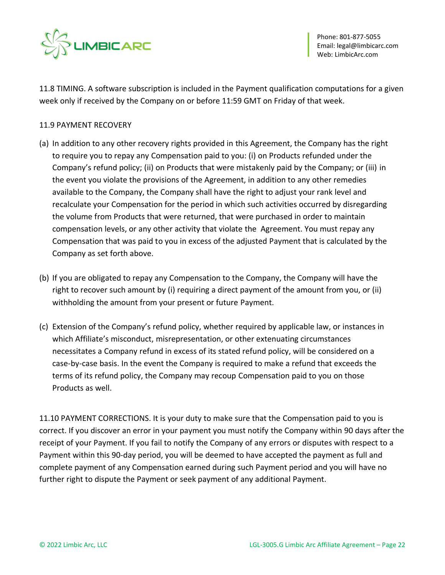

11.8 TIMING. A software subscription is included in the Payment qualification computations for a given week only if received by the Company on or before 11:59 GMT on Friday of that week.

### 11.9 PAYMENT RECOVERY

- (a) In addition to any other recovery rights provided in this Agreement, the Company has the right to require you to repay any Compensation paid to you: (i) on Products refunded under the Company's refund policy; (ii) on Products that were mistakenly paid by the Company; or (iii) in the event you violate the provisions of the Agreement, in addition to any other remedies available to the Company, the Company shall have the right to adjust your rank level and recalculate your Compensation for the period in which such activities occurred by disregarding the volume from Products that were returned, that were purchased in order to maintain compensation levels, or any other activity that violate the Agreement. You must repay any Compensation that was paid to you in excess of the adjusted Payment that is calculated by the Company as set forth above.
- (b) If you are obligated to repay any Compensation to the Company, the Company will have the right to recover such amount by (i) requiring a direct payment of the amount from you, or (ii) withholding the amount from your present or future Payment.
- (c) Extension of the Company's refund policy, whether required by applicable law, or instances in which Affiliate's misconduct, misrepresentation, or other extenuating circumstances necessitates a Company refund in excess of its stated refund policy, will be considered on a case-by-case basis. In the event the Company is required to make a refund that exceeds the terms of its refund policy, the Company may recoup Compensation paid to you on those Products as well.

11.10 PAYMENT CORRECTIONS. It is your duty to make sure that the Compensation paid to you is correct. If you discover an error in your payment you must notify the Company within 90 days after the receipt of your Payment. If you fail to notify the Company of any errors or disputes with respect to a Payment within this 90-day period, you will be deemed to have accepted the payment as full and complete payment of any Compensation earned during such Payment period and you will have no further right to dispute the Payment or seek payment of any additional Payment.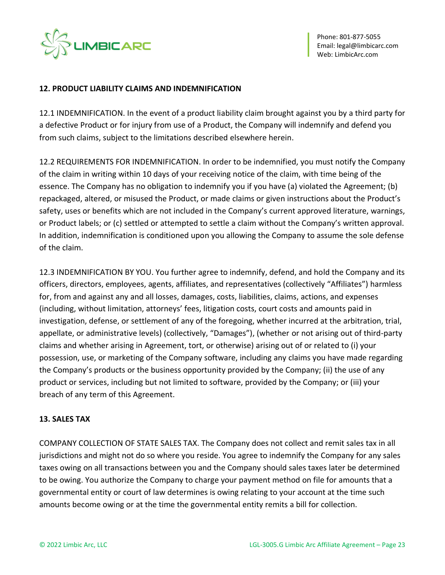

### **12. PRODUCT LIABILITY CLAIMS AND INDEMNIFICATION**

12.1 INDEMNIFICATION. In the event of a product liability claim brought against you by a third party for a defective Product or for injury from use of a Product, the Company will indemnify and defend you from such claims, subject to the limitations described elsewhere herein.

12.2 REQUIREMENTS FOR INDEMNIFICATION. In order to be indemnified, you must notify the Company of the claim in writing within 10 days of your receiving notice of the claim, with time being of the essence. The Company has no obligation to indemnify you if you have (a) violated the Agreement; (b) repackaged, altered, or misused the Product, or made claims or given instructions about the Product's safety, uses or benefits which are not included in the Company's current approved literature, warnings, or Product labels; or (c) settled or attempted to settle a claim without the Company's written approval. In addition, indemnification is conditioned upon you allowing the Company to assume the sole defense of the claim.

12.3 INDEMNIFICATION BY YOU. You further agree to indemnify, defend, and hold the Company and its officers, directors, employees, agents, affiliates, and representatives (collectively "Affiliates") harmless for, from and against any and all losses, damages, costs, liabilities, claims, actions, and expenses (including, without limitation, attorneys' fees, litigation costs, court costs and amounts paid in investigation, defense, or settlement of any of the foregoing, whether incurred at the arbitration, trial, appellate, or administrative levels) (collectively, "Damages"), (whether or not arising out of third-party claims and whether arising in Agreement, tort, or otherwise) arising out of or related to (i) your possession, use, or marketing of the Company software, including any claims you have made regarding the Company's products or the business opportunity provided by the Company; (ii) the use of any product or services, including but not limited to software, provided by the Company; or (iii) your breach of any term of this Agreement.

### **13. SALES TAX**

COMPANY COLLECTION OF STATE SALES TAX. The Company does not collect and remit sales tax in all jurisdictions and might not do so where you reside. You agree to indemnify the Company for any sales taxes owing on all transactions between you and the Company should sales taxes later be determined to be owing. You authorize the Company to charge your payment method on file for amounts that a governmental entity or court of law determines is owing relating to your account at the time such amounts become owing or at the time the governmental entity remits a bill for collection.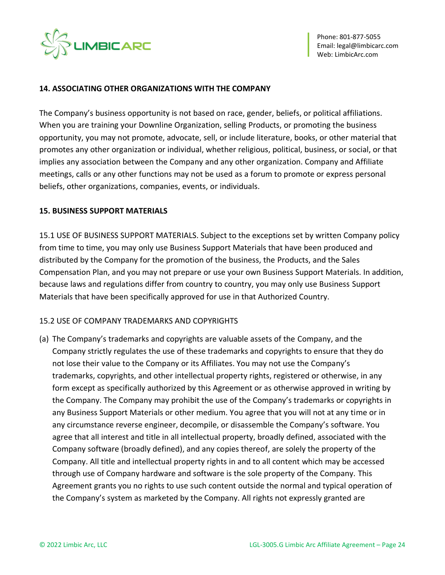

#### **14. ASSOCIATING OTHER ORGANIZATIONS WITH THE COMPANY**

The Company's business opportunity is not based on race, gender, beliefs, or political affiliations. When you are training your Downline Organization, selling Products, or promoting the business opportunity, you may not promote, advocate, sell, or include literature, books, or other material that promotes any other organization or individual, whether religious, political, business, or social, or that implies any association between the Company and any other organization. Company and Affiliate meetings, calls or any other functions may not be used as a forum to promote or express personal beliefs, other organizations, companies, events, or individuals.

#### **15. BUSINESS SUPPORT MATERIALS**

15.1 USE OF BUSINESS SUPPORT MATERIALS. Subject to the exceptions set by written Company policy from time to time, you may only use Business Support Materials that have been produced and distributed by the Company for the promotion of the business, the Products, and the Sales Compensation Plan, and you may not prepare or use your own Business Support Materials. In addition, because laws and regulations differ from country to country, you may only use Business Support Materials that have been specifically approved for use in that Authorized Country.

### 15.2 USE OF COMPANY TRADEMARKS AND COPYRIGHTS

(a) The Company's trademarks and copyrights are valuable assets of the Company, and the Company strictly regulates the use of these trademarks and copyrights to ensure that they do not lose their value to the Company or its Affiliates. You may not use the Company's trademarks, copyrights, and other intellectual property rights, registered or otherwise, in any form except as specifically authorized by this Agreement or as otherwise approved in writing by the Company. The Company may prohibit the use of the Company's trademarks or copyrights in any Business Support Materials or other medium. You agree that you will not at any time or in any circumstance reverse engineer, decompile, or disassemble the Company's software. You agree that all interest and title in all intellectual property, broadly defined, associated with the Company software (broadly defined), and any copies thereof, are solely the property of the Company. All title and intellectual property rights in and to all content which may be accessed through use of Company hardware and software is the sole property of the Company. This Agreement grants you no rights to use such content outside the normal and typical operation of the Company's system as marketed by the Company. All rights not expressly granted are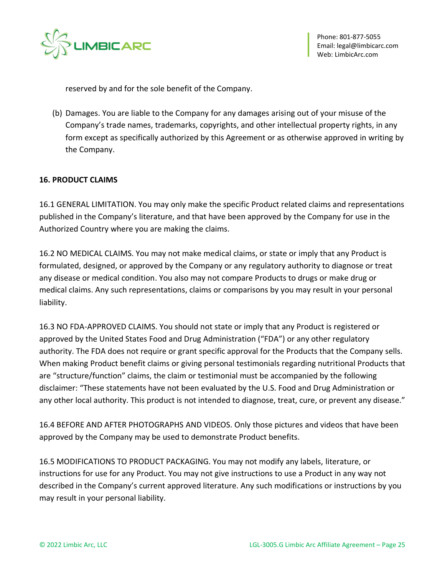

reserved by and for the sole benefit of the Company.

(b) Damages. You are liable to the Company for any damages arising out of your misuse of the Company's trade names, trademarks, copyrights, and other intellectual property rights, in any form except as specifically authorized by this Agreement or as otherwise approved in writing by the Company.

### **16. PRODUCT CLAIMS**

16.1 GENERAL LIMITATION. You may only make the specific Product related claims and representations published in the Company's literature, and that have been approved by the Company for use in the Authorized Country where you are making the claims.

16.2 NO MEDICAL CLAIMS. You may not make medical claims, or state or imply that any Product is formulated, designed, or approved by the Company or any regulatory authority to diagnose or treat any disease or medical condition. You also may not compare Products to drugs or make drug or medical claims. Any such representations, claims or comparisons by you may result in your personal liability.

16.3 NO FDA-APPROVED CLAIMS. You should not state or imply that any Product is registered or approved by the United States Food and Drug Administration ("FDA") or any other regulatory authority. The FDA does not require or grant specific approval for the Products that the Company sells. When making Product benefit claims or giving personal testimonials regarding nutritional Products that are "structure/function" claims, the claim or testimonial must be accompanied by the following disclaimer: "These statements have not been evaluated by the U.S. Food and Drug Administration or any other local authority. This product is not intended to diagnose, treat, cure, or prevent any disease."

16.4 BEFORE AND AFTER PHOTOGRAPHS AND VIDEOS. Only those pictures and videos that have been approved by the Company may be used to demonstrate Product benefits.

16.5 MODIFICATIONS TO PRODUCT PACKAGING. You may not modify any labels, literature, or instructions for use for any Product. You may not give instructions to use a Product in any way not described in the Company's current approved literature. Any such modifications or instructions by you may result in your personal liability.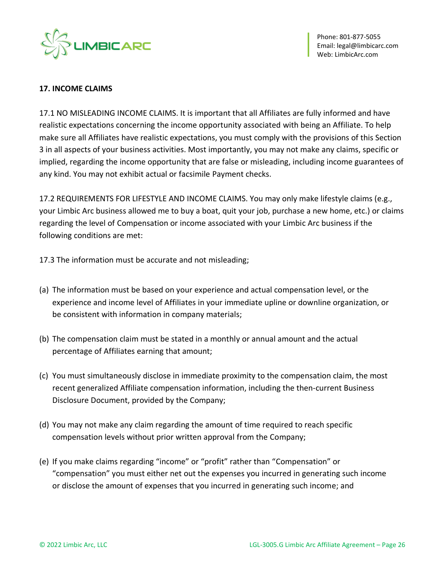

### **17. INCOME CLAIMS**

17.1 NO MISLEADING INCOME CLAIMS. It is important that all Affiliates are fully informed and have realistic expectations concerning the income opportunity associated with being an Affiliate. To help make sure all Affiliates have realistic expectations, you must comply with the provisions of this Section 3 in all aspects of your business activities. Most importantly, you may not make any claims, specific or implied, regarding the income opportunity that are false or misleading, including income guarantees of any kind. You may not exhibit actual or facsimile Payment checks.

17.2 REQUIREMENTS FOR LIFESTYLE AND INCOME CLAIMS. You may only make lifestyle claims (e.g., your Limbic Arc business allowed me to buy a boat, quit your job, purchase a new home, etc.) or claims regarding the level of Compensation or income associated with your Limbic Arc business if the following conditions are met:

- 17.3 The information must be accurate and not misleading;
- (a) The information must be based on your experience and actual compensation level, or the experience and income level of Affiliates in your immediate upline or downline organization, or be consistent with information in company materials;
- (b) The compensation claim must be stated in a monthly or annual amount and the actual percentage of Affiliates earning that amount;
- (c) You must simultaneously disclose in immediate proximity to the compensation claim, the most recent generalized Affiliate compensation information, including the then-current Business Disclosure Document, provided by the Company;
- (d) You may not make any claim regarding the amount of time required to reach specific compensation levels without prior written approval from the Company;
- (e) If you make claims regarding "income" or "profit" rather than "Compensation" or "compensation" you must either net out the expenses you incurred in generating such income or disclose the amount of expenses that you incurred in generating such income; and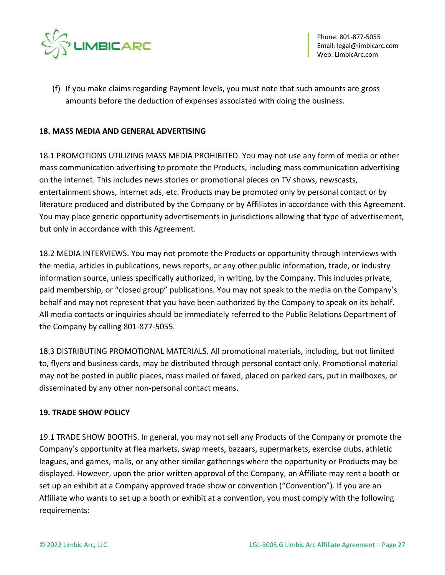

(f) If you make claims regarding Payment levels, you must note that such amounts are gross amounts before the deduction of expenses associated with doing the business.

### **18. MASS MEDIA AND GENERAL ADVERTISING**

18.1 PROMOTIONS UTILIZING MASS MEDIA PROHIBITED. You may not use any form of media or other mass communication advertising to promote the Products, including mass communication advertising on the internet. This includes news stories or promotional pieces on TV shows, newscasts, entertainment shows, internet ads, etc. Products may be promoted only by personal contact or by literature produced and distributed by the Company or by Affiliates in accordance with this Agreement. You may place generic opportunity advertisements in jurisdictions allowing that type of advertisement, but only in accordance with this Agreement.

18.2 MEDIA INTERVIEWS. You may not promote the Products or opportunity through interviews with the media, articles in publications, news reports, or any other public information, trade, or industry information source, unless specifically authorized, in writing, by the Company. This includes private, paid membership, or "closed group" publications. You may not speak to the media on the Company's behalf and may not represent that you have been authorized by the Company to speak on its behalf. All media contacts or inquiries should be immediately referred to the Public Relations Department of the Company by calling 801-877-5055.

18.3 DISTRIBUTING PROMOTIONAL MATERIALS. All promotional materials, including, but not limited to, flyers and business cards, may be distributed through personal contact only. Promotional material may not be posted in public places, mass mailed or faxed, placed on parked cars, put in mailboxes, or disseminated by any other non-personal contact means.

### **19. TRADE SHOW POLICY**

19.1 TRADE SHOW BOOTHS. In general, you may not sell any Products of the Company or promote the Company's opportunity at flea markets, swap meets, bazaars, supermarkets, exercise clubs, athletic leagues, and games, malls, or any other similar gatherings where the opportunity or Products may be displayed. However, upon the prior written approval of the Company, an Affiliate may rent a booth or set up an exhibit at a Company approved trade show or convention ("Convention"). If you are an Affiliate who wants to set up a booth or exhibit at a convention, you must comply with the following requirements: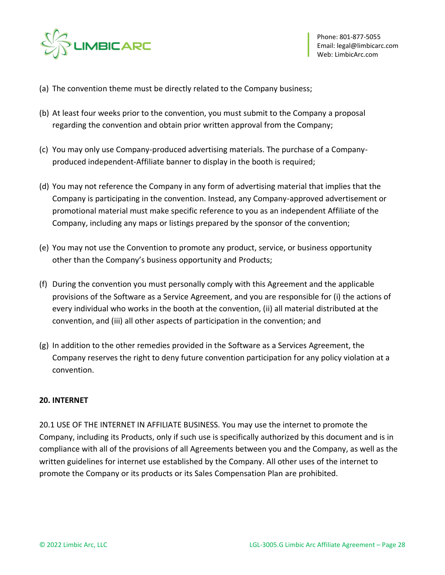

- (a) The convention theme must be directly related to the Company business;
- (b) At least four weeks prior to the convention, you must submit to the Company a proposal regarding the convention and obtain prior written approval from the Company;
- (c) You may only use Company-produced advertising materials. The purchase of a Companyproduced independent-Affiliate banner to display in the booth is required;
- (d) You may not reference the Company in any form of advertising material that implies that the Company is participating in the convention. Instead, any Company-approved advertisement or promotional material must make specific reference to you as an independent Affiliate of the Company, including any maps or listings prepared by the sponsor of the convention;
- (e) You may not use the Convention to promote any product, service, or business opportunity other than the Company's business opportunity and Products;
- (f) During the convention you must personally comply with this Agreement and the applicable provisions of the Software as a Service Agreement, and you are responsible for (i) the actions of every individual who works in the booth at the convention, (ii) all material distributed at the convention, and (iii) all other aspects of participation in the convention; and
- (g) In addition to the other remedies provided in the Software as a Services Agreement, the Company reserves the right to deny future convention participation for any policy violation at a convention.

### **20. INTERNET**

20.1 USE OF THE INTERNET IN AFFILIATE BUSINESS. You may use the internet to promote the Company, including its Products, only if such use is specifically authorized by this document and is in compliance with all of the provisions of all Agreements between you and the Company, as well as the written guidelines for internet use established by the Company. All other uses of the internet to promote the Company or its products or its Sales Compensation Plan are prohibited.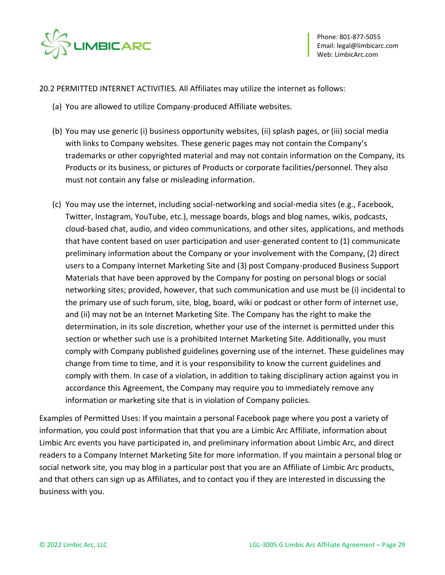

20.2 PERMITTED INTERNET ACTIVITIES. All Affiliates may utilize the internet as follows:

- (a) You are allowed to utilize Company-produced Affiliate websites.
- (b) You may use generic (i) business opportunity websites, (ii) splash pages, or (iii) social media with links to Company websites. These generic pages may not contain the Company's trademarks or other copyrighted material and may not contain information on the Company, its Products or its business, or pictures of Products or corporate facilities/personnel. They also must not contain any false or misleading information.
- (c) You may use the internet, including social-networking and social-media sites (e.g., Facebook, Twitter, Instagram, YouTube, etc.), message boards, blogs and blog names, wikis, podcasts, cloud-based chat, audio, and video communications, and other sites, applications, and methods that have content based on user participation and user-generated content to (1) communicate preliminary information about the Company or your involvement with the Company, (2) direct users to a Company Internet Marketing Site and (3) post Company-produced Business Support Materials that have been approved by the Company for posting on personal blogs or social networking sites; provided, however, that such communication and use must be (i) incidental to the primary use of such forum, site, blog, board, wiki or podcast or other form of internet use, and (ii) may not be an Internet Marketing Site. The Company has the right to make the determination, in its sole discretion, whether your use of the internet is permitted under this section or whether such use is a prohibited Internet Marketing Site. Additionally, you must comply with Company published guidelines governing use of the internet. These guidelines may change from time to time, and it is your responsibility to know the current guidelines and comply with them. In case of a violation, in addition to taking disciplinary action against you in accordance this Agreement, the Company may require you to immediately remove any information or marketing site that is in violation of Company policies.

Examples of Permitted Uses: If you maintain a personal Facebook page where you post a variety of information, you could post information that that you are a Limbic Arc Affiliate, information about Limbic Arc events you have participated in, and preliminary information about Limbic Arc, and direct readers to a Company Internet Marketing Site for more information. If you maintain a personal blog or social network site, you may blog in a particular post that you are an Affiliate of Limbic Arc products, and that others can sign up as Affiliates, and to contact you if they are interested in discussing the business with you.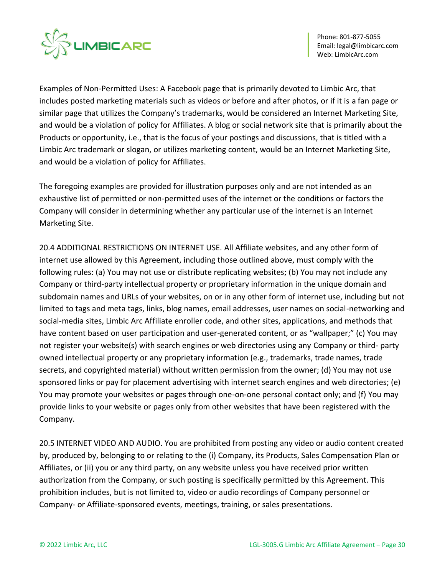

Examples of Non-Permitted Uses: A Facebook page that is primarily devoted to Limbic Arc, that includes posted marketing materials such as videos or before and after photos, or if it is a fan page or similar page that utilizes the Company's trademarks, would be considered an Internet Marketing Site, and would be a violation of policy for Affiliates. A blog or social network site that is primarily about the Products or opportunity, i.e., that is the focus of your postings and discussions, that is titled with a Limbic Arc trademark or slogan, or utilizes marketing content, would be an Internet Marketing Site, and would be a violation of policy for Affiliates.

The foregoing examples are provided for illustration purposes only and are not intended as an exhaustive list of permitted or non-permitted uses of the internet or the conditions or factors the Company will consider in determining whether any particular use of the internet is an Internet Marketing Site.

20.4 ADDITIONAL RESTRICTIONS ON INTERNET USE. All Affiliate websites, and any other form of internet use allowed by this Agreement, including those outlined above, must comply with the following rules: (a) You may not use or distribute replicating websites; (b) You may not include any Company or third-party intellectual property or proprietary information in the unique domain and subdomain names and URLs of your websites, on or in any other form of internet use, including but not limited to tags and meta tags, links, blog names, email addresses, user names on social-networking and social-media sites, Limbic Arc Affiliate enroller code, and other sites, applications, and methods that have content based on user participation and user-generated content, or as "wallpaper;" (c) You may not register your website(s) with search engines or web directories using any Company or third- party owned intellectual property or any proprietary information (e.g., trademarks, trade names, trade secrets, and copyrighted material) without written permission from the owner; (d) You may not use sponsored links or pay for placement advertising with internet search engines and web directories; (e) You may promote your websites or pages through one-on-one personal contact only; and (f) You may provide links to your website or pages only from other websites that have been registered with the Company.

20.5 INTERNET VIDEO AND AUDIO. You are prohibited from posting any video or audio content created by, produced by, belonging to or relating to the (i) Company, its Products, Sales Compensation Plan or Affiliates, or (ii) you or any third party, on any website unless you have received prior written authorization from the Company, or such posting is specifically permitted by this Agreement. This prohibition includes, but is not limited to, video or audio recordings of Company personnel or Company- or Affiliate-sponsored events, meetings, training, or sales presentations.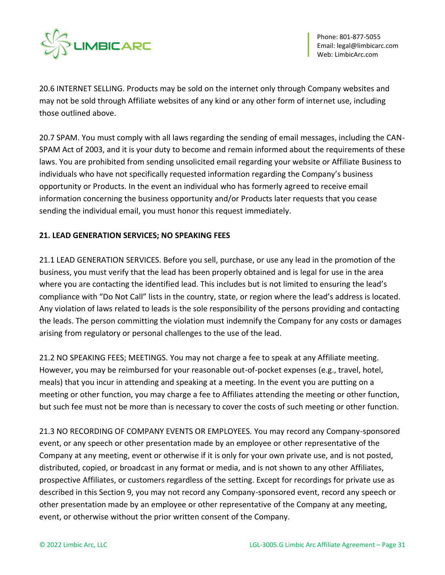

20.6 INTERNET SELLING. Products may be sold on the internet only through Company websites and may not be sold through Affiliate websites of any kind or any other form of internet use, including those outlined above.

20.7 SPAM. You must comply with all laws regarding the sending of email messages, including the CAN-SPAM Act of 2003, and it is your duty to become and remain informed about the requirements of these laws. You are prohibited from sending unsolicited email regarding your website or Affiliate Business to individuals who have not specifically requested information regarding the Company's business opportunity or Products. In the event an individual who has formerly agreed to receive email information concerning the business opportunity and/or Products later requests that you cease sending the individual email, you must honor this request immediately.

# **21. LEAD GENERATION SERVICES; NO SPEAKING FEES**

21.1 LEAD GENERATION SERVICES. Before you sell, purchase, or use any lead in the promotion of the business, you must verify that the lead has been properly obtained and is legal for use in the area where you are contacting the identified lead. This includes but is not limited to ensuring the lead's compliance with "Do Not Call" lists in the country, state, or region where the lead's address is located. Any violation of laws related to leads is the sole responsibility of the persons providing and contacting the leads. The person committing the violation must indemnify the Company for any costs or damages arising from regulatory or personal challenges to the use of the lead.

21.2 NO SPEAKING FEES; MEETINGS. You may not charge a fee to speak at any Affiliate meeting. However, you may be reimbursed for your reasonable out-of-pocket expenses (e.g., travel, hotel, meals) that you incur in attending and speaking at a meeting. In the event you are putting on a meeting or other function, you may charge a fee to Affiliates attending the meeting or other function, but such fee must not be more than is necessary to cover the costs of such meeting or other function.

21.3 NO RECORDING OF COMPANY EVENTS OR EMPLOYEES. You may record any Company-sponsored event, or any speech or other presentation made by an employee or other representative of the Company at any meeting, event or otherwise if it is only for your own private use, and is not posted, distributed, copied, or broadcast in any format or media, and is not shown to any other Affiliates, prospective Affiliates, or customers regardless of the setting. Except for recordings for private use as described in this Section 9, you may not record any Company-sponsored event, record any speech or other presentation made by an employee or other representative of the Company at any meeting, event, or otherwise without the prior written consent of the Company.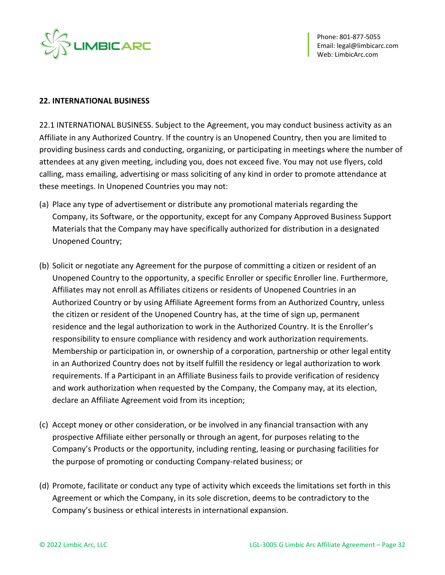

#### **22. INTERNATIONAL BUSINESS**

22.1 INTERNATIONAL BUSINESS. Subject to the Agreement, you may conduct business activity as an Affiliate in any Authorized Country. If the country is an Unopened Country, then you are limited to providing business cards and conducting, organizing, or participating in meetings where the number of attendees at any given meeting, including you, does not exceed five. You may not use flyers, cold calling, mass emailing, advertising or mass soliciting of any kind in order to promote attendance at these meetings. In Unopened Countries you may not:

- (a) Place any type of advertisement or distribute any promotional materials regarding the Company, its Software, or the opportunity, except for any Company Approved Business Support Materials that the Company may have specifically authorized for distribution in a designated Unopened Country;
- (b) Solicit or negotiate any Agreement for the purpose of committing a citizen or resident of an Unopened Country to the opportunity, a specific Enroller or specific Enroller line. Furthermore, Affiliates may not enroll as Affiliates citizens or residents of Unopened Countries in an Authorized Country or by using Affiliate Agreement forms from an Authorized Country, unless the citizen or resident of the Unopened Country has, at the time of sign up, permanent residence and the legal authorization to work in the Authorized Country. It is the Enroller's responsibility to ensure compliance with residency and work authorization requirements. Membership or participation in, or ownership of a corporation, partnership or other legal entity in an Authorized Country does not by itself fulfill the residency or legal authorization to work requirements. If a Participant in an Affiliate Business fails to provide verification of residency and work authorization when requested by the Company, the Company may, at its election, declare an Affiliate Agreement void from its inception;
- (c) Accept money or other consideration, or be involved in any financial transaction with any prospective Affiliate either personally or through an agent, for purposes relating to the Company's Products or the opportunity, including renting, leasing or purchasing facilities for the purpose of promoting or conducting Company-related business; or
- (d) Promote, facilitate or conduct any type of activity which exceeds the limitations set forth in this Agreement or which the Company, in its sole discretion, deems to be contradictory to the Company's business or ethical interests in international expansion.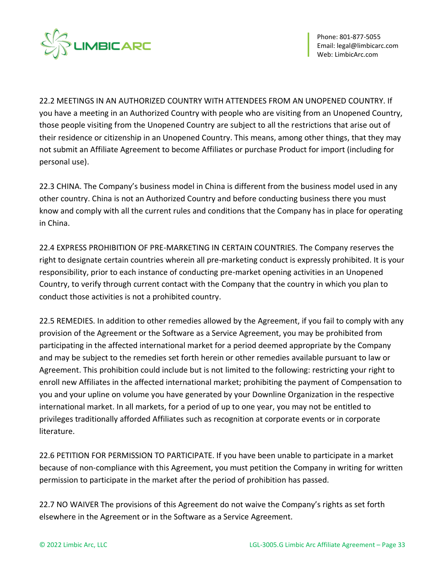

22.2 MEETINGS IN AN AUTHORIZED COUNTRY WITH ATTENDEES FROM AN UNOPENED COUNTRY. If you have a meeting in an Authorized Country with people who are visiting from an Unopened Country, those people visiting from the Unopened Country are subject to all the restrictions that arise out of their residence or citizenship in an Unopened Country. This means, among other things, that they may not submit an Affiliate Agreement to become Affiliates or purchase Product for import (including for personal use).

22.3 CHINA. The Company's business model in China is different from the business model used in any other country. China is not an Authorized Country and before conducting business there you must know and comply with all the current rules and conditions that the Company has in place for operating in China.

22.4 EXPRESS PROHIBITION OF PRE-MARKETING IN CERTAIN COUNTRIES. The Company reserves the right to designate certain countries wherein all pre-marketing conduct is expressly prohibited. It is your responsibility, prior to each instance of conducting pre-market opening activities in an Unopened Country, to verify through current contact with the Company that the country in which you plan to conduct those activities is not a prohibited country.

22.5 REMEDIES. In addition to other remedies allowed by the Agreement, if you fail to comply with any provision of the Agreement or the Software as a Service Agreement, you may be prohibited from participating in the affected international market for a period deemed appropriate by the Company and may be subject to the remedies set forth herein or other remedies available pursuant to law or Agreement. This prohibition could include but is not limited to the following: restricting your right to enroll new Affiliates in the affected international market; prohibiting the payment of Compensation to you and your upline on volume you have generated by your Downline Organization in the respective international market. In all markets, for a period of up to one year, you may not be entitled to privileges traditionally afforded Affiliates such as recognition at corporate events or in corporate literature.

22.6 PETITION FOR PERMISSION TO PARTICIPATE. If you have been unable to participate in a market because of non-compliance with this Agreement, you must petition the Company in writing for written permission to participate in the market after the period of prohibition has passed.

22.7 NO WAIVER The provisions of this Agreement do not waive the Company's rights as set forth elsewhere in the Agreement or in the Software as a Service Agreement.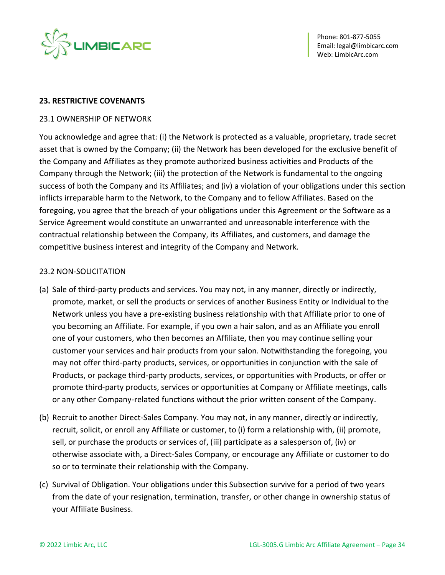

#### **23. RESTRICTIVE COVENANTS**

#### 23.1 OWNERSHIP OF NETWORK

You acknowledge and agree that: (i) the Network is protected as a valuable, proprietary, trade secret asset that is owned by the Company; (ii) the Network has been developed for the exclusive benefit of the Company and Affiliates as they promote authorized business activities and Products of the Company through the Network; (iii) the protection of the Network is fundamental to the ongoing success of both the Company and its Affiliates; and (iv) a violation of your obligations under this section inflicts irreparable harm to the Network, to the Company and to fellow Affiliates. Based on the foregoing, you agree that the breach of your obligations under this Agreement or the Software as a Service Agreement would constitute an unwarranted and unreasonable interference with the contractual relationship between the Company, its Affiliates, and customers, and damage the competitive business interest and integrity of the Company and Network.

#### 23.2 NON-SOLICITATION

- (a) Sale of third-party products and services. You may not, in any manner, directly or indirectly, promote, market, or sell the products or services of another Business Entity or Individual to the Network unless you have a pre-existing business relationship with that Affiliate prior to one of you becoming an Affiliate. For example, if you own a hair salon, and as an Affiliate you enroll one of your customers, who then becomes an Affiliate, then you may continue selling your customer your services and hair products from your salon. Notwithstanding the foregoing, you may not offer third-party products, services, or opportunities in conjunction with the sale of Products, or package third-party products, services, or opportunities with Products, or offer or promote third-party products, services or opportunities at Company or Affiliate meetings, calls or any other Company-related functions without the prior written consent of the Company.
- (b) Recruit to another Direct-Sales Company. You may not, in any manner, directly or indirectly, recruit, solicit, or enroll any Affiliate or customer, to (i) form a relationship with, (ii) promote, sell, or purchase the products or services of, (iii) participate as a salesperson of, (iv) or otherwise associate with, a Direct-Sales Company, or encourage any Affiliate or customer to do so or to terminate their relationship with the Company.
- (c) Survival of Obligation. Your obligations under this Subsection survive for a period of two years from the date of your resignation, termination, transfer, or other change in ownership status of your Affiliate Business.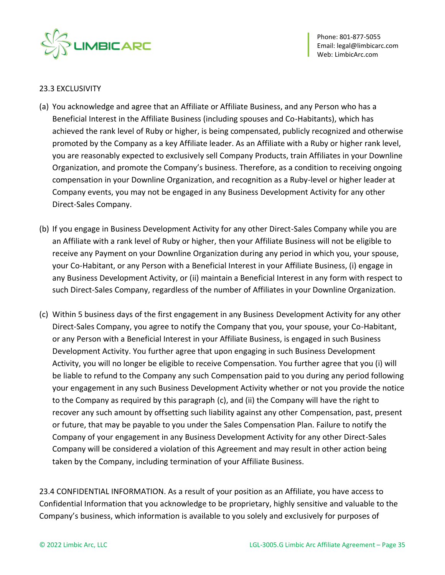

### 23.3 EXCLUSIVITY

- (a) You acknowledge and agree that an Affiliate or Affiliate Business, and any Person who has a Beneficial Interest in the Affiliate Business (including spouses and Co-Habitants), which has achieved the rank level of Ruby or higher, is being compensated, publicly recognized and otherwise promoted by the Company as a key Affiliate leader. As an Affiliate with a Ruby or higher rank level, you are reasonably expected to exclusively sell Company Products, train Affiliates in your Downline Organization, and promote the Company's business. Therefore, as a condition to receiving ongoing compensation in your Downline Organization, and recognition as a Ruby-level or higher leader at Company events, you may not be engaged in any Business Development Activity for any other Direct-Sales Company.
- (b) If you engage in Business Development Activity for any other Direct-Sales Company while you are an Affiliate with a rank level of Ruby or higher, then your Affiliate Business will not be eligible to receive any Payment on your Downline Organization during any period in which you, your spouse, your Co-Habitant, or any Person with a Beneficial Interest in your Affiliate Business, (i) engage in any Business Development Activity, or (ii) maintain a Beneficial Interest in any form with respect to such Direct-Sales Company, regardless of the number of Affiliates in your Downline Organization.
- (c) Within 5 business days of the first engagement in any Business Development Activity for any other Direct-Sales Company, you agree to notify the Company that you, your spouse, your Co-Habitant, or any Person with a Beneficial Interest in your Affiliate Business, is engaged in such Business Development Activity. You further agree that upon engaging in such Business Development Activity, you will no longer be eligible to receive Compensation. You further agree that you (i) will be liable to refund to the Company any such Compensation paid to you during any period following your engagement in any such Business Development Activity whether or not you provide the notice to the Company as required by this paragraph (c), and (ii) the Company will have the right to recover any such amount by offsetting such liability against any other Compensation, past, present or future, that may be payable to you under the Sales Compensation Plan. Failure to notify the Company of your engagement in any Business Development Activity for any other Direct-Sales Company will be considered a violation of this Agreement and may result in other action being taken by the Company, including termination of your Affiliate Business.

23.4 CONFIDENTIAL INFORMATION. As a result of your position as an Affiliate, you have access to Confidential Information that you acknowledge to be proprietary, highly sensitive and valuable to the Company's business, which information is available to you solely and exclusively for purposes of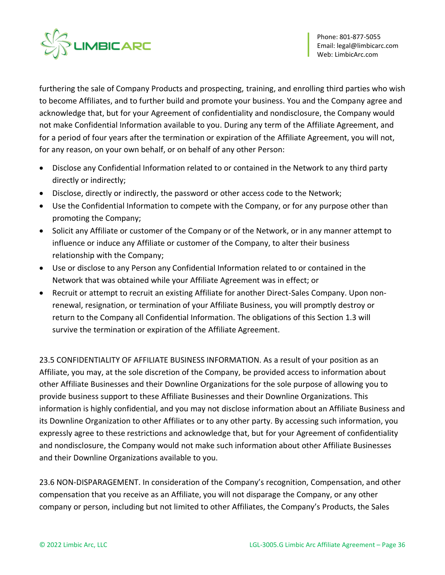

furthering the sale of Company Products and prospecting, training, and enrolling third parties who wish to become Affiliates, and to further build and promote your business. You and the Company agree and acknowledge that, but for your Agreement of confidentiality and nondisclosure, the Company would not make Confidential Information available to you. During any term of the Affiliate Agreement, and for a period of four years after the termination or expiration of the Affiliate Agreement, you will not, for any reason, on your own behalf, or on behalf of any other Person:

- Disclose any Confidential Information related to or contained in the Network to any third party directly or indirectly;
- Disclose, directly or indirectly, the password or other access code to the Network;
- Use the Confidential Information to compete with the Company, or for any purpose other than promoting the Company;
- Solicit any Affiliate or customer of the Company or of the Network, or in any manner attempt to influence or induce any Affiliate or customer of the Company, to alter their business relationship with the Company;
- Use or disclose to any Person any Confidential Information related to or contained in the Network that was obtained while your Affiliate Agreement was in effect; or
- Recruit or attempt to recruit an existing Affiliate for another Direct-Sales Company. Upon nonrenewal, resignation, or termination of your Affiliate Business, you will promptly destroy or return to the Company all Confidential Information. The obligations of this Section 1.3 will survive the termination or expiration of the Affiliate Agreement.

23.5 CONFIDENTIALITY OF AFFILIATE BUSINESS INFORMATION. As a result of your position as an Affiliate, you may, at the sole discretion of the Company, be provided access to information about other Affiliate Businesses and their Downline Organizations for the sole purpose of allowing you to provide business support to these Affiliate Businesses and their Downline Organizations. This information is highly confidential, and you may not disclose information about an Affiliate Business and its Downline Organization to other Affiliates or to any other party. By accessing such information, you expressly agree to these restrictions and acknowledge that, but for your Agreement of confidentiality and nondisclosure, the Company would not make such information about other Affiliate Businesses and their Downline Organizations available to you.

23.6 NON-DISPARAGEMENT. In consideration of the Company's recognition, Compensation, and other compensation that you receive as an Affiliate, you will not disparage the Company, or any other company or person, including but not limited to other Affiliates, the Company's Products, the Sales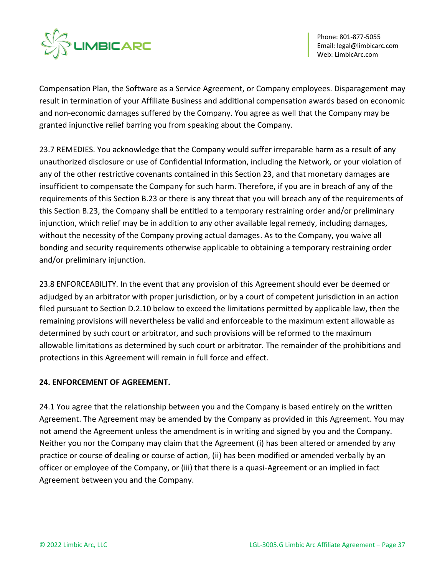

Compensation Plan, the Software as a Service Agreement, or Company employees. Disparagement may result in termination of your Affiliate Business and additional compensation awards based on economic and non-economic damages suffered by the Company. You agree as well that the Company may be granted injunctive relief barring you from speaking about the Company.

23.7 REMEDIES. You acknowledge that the Company would suffer irreparable harm as a result of any unauthorized disclosure or use of Confidential Information, including the Network, or your violation of any of the other restrictive covenants contained in this Section 23, and that monetary damages are insufficient to compensate the Company for such harm. Therefore, if you are in breach of any of the requirements of this Section B.23 or there is any threat that you will breach any of the requirements of this Section B.23, the Company shall be entitled to a temporary restraining order and/or preliminary injunction, which relief may be in addition to any other available legal remedy, including damages, without the necessity of the Company proving actual damages. As to the Company, you waive all bonding and security requirements otherwise applicable to obtaining a temporary restraining order and/or preliminary injunction.

23.8 ENFORCEABILITY. In the event that any provision of this Agreement should ever be deemed or adjudged by an arbitrator with proper jurisdiction, or by a court of competent jurisdiction in an action filed pursuant to Section D.2.10 below to exceed the limitations permitted by applicable law, then the remaining provisions will nevertheless be valid and enforceable to the maximum extent allowable as determined by such court or arbitrator, and such provisions will be reformed to the maximum allowable limitations as determined by such court or arbitrator. The remainder of the prohibitions and protections in this Agreement will remain in full force and effect.

### **24. ENFORCEMENT OF AGREEMENT.**

24.1 You agree that the relationship between you and the Company is based entirely on the written Agreement. The Agreement may be amended by the Company as provided in this Agreement. You may not amend the Agreement unless the amendment is in writing and signed by you and the Company. Neither you nor the Company may claim that the Agreement (i) has been altered or amended by any practice or course of dealing or course of action, (ii) has been modified or amended verbally by an officer or employee of the Company, or (iii) that there is a quasi-Agreement or an implied in fact Agreement between you and the Company.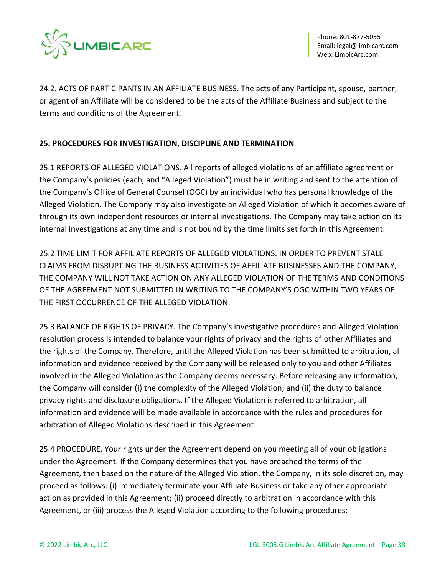

24.2. ACTS OF PARTICIPANTS IN AN AFFILIATE BUSINESS. The acts of any Participant, spouse, partner, or agent of an Affiliate will be considered to be the acts of the Affiliate Business and subject to the terms and conditions of the Agreement.

# **25. PROCEDURES FOR INVESTIGATION, DISCIPLINE AND TERMINATION**

25.1 REPORTS OF ALLEGED VIOLATIONS. All reports of alleged violations of an affiliate agreement or the Company's policies (each, and "Alleged Violation") must be in writing and sent to the attention of the Company's Office of General Counsel (OGC) by an individual who has personal knowledge of the Alleged Violation. The Company may also investigate an Alleged Violation of which it becomes aware of through its own independent resources or internal investigations. The Company may take action on its internal investigations at any time and is not bound by the time limits set forth in this Agreement.

25.2 TIME LIMIT FOR AFFILIATE REPORTS OF ALLEGED VIOLATIONS. IN ORDER TO PREVENT STALE CLAIMS FROM DISRUPTING THE BUSINESS ACTIVITIES OF AFFILIATE BUSINESSES AND THE COMPANY, THE COMPANY WILL NOT TAKE ACTION ON ANY ALLEGED VIOLATION OF THE TERMS AND CONDITIONS OF THE AGREEMENT NOT SUBMITTED IN WRITING TO THE COMPANY'S OGC WITHIN TWO YEARS OF THE FIRST OCCURRENCE OF THE ALLEGED VIOLATION.

25.3 BALANCE OF RIGHTS OF PRIVACY. The Company's investigative procedures and Alleged Violation resolution process is intended to balance your rights of privacy and the rights of other Affiliates and the rights of the Company. Therefore, until the Alleged Violation has been submitted to arbitration, all information and evidence received by the Company will be released only to you and other Affiliates involved in the Alleged Violation as the Company deems necessary. Before releasing any information, the Company will consider (i) the complexity of the Alleged Violation; and (ii) the duty to balance privacy rights and disclosure obligations. If the Alleged Violation is referred to arbitration, all information and evidence will be made available in accordance with the rules and procedures for arbitration of Alleged Violations described in this Agreement.

25.4 PROCEDURE. Your rights under the Agreement depend on you meeting all of your obligations under the Agreement. If the Company determines that you have breached the terms of the Agreement, then based on the nature of the Alleged Violation, the Company, in its sole discretion, may proceed as follows: (i) immediately terminate your Affiliate Business or take any other appropriate action as provided in this Agreement; (ii) proceed directly to arbitration in accordance with this Agreement, or (iii) process the Alleged Violation according to the following procedures: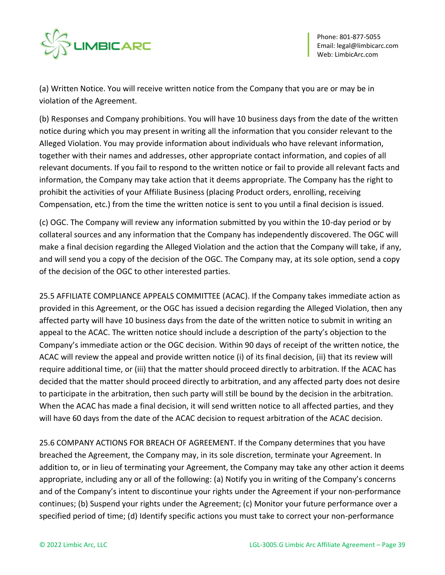

(a) Written Notice. You will receive written notice from the Company that you are or may be in violation of the Agreement.

(b) Responses and Company prohibitions. You will have 10 business days from the date of the written notice during which you may present in writing all the information that you consider relevant to the Alleged Violation. You may provide information about individuals who have relevant information, together with their names and addresses, other appropriate contact information, and copies of all relevant documents. If you fail to respond to the written notice or fail to provide all relevant facts and information, the Company may take action that it deems appropriate. The Company has the right to prohibit the activities of your Affiliate Business (placing Product orders, enrolling, receiving Compensation, etc.) from the time the written notice is sent to you until a final decision is issued.

(c) OGC. The Company will review any information submitted by you within the 10-day period or by collateral sources and any information that the Company has independently discovered. The OGC will make a final decision regarding the Alleged Violation and the action that the Company will take, if any, and will send you a copy of the decision of the OGC. The Company may, at its sole option, send a copy of the decision of the OGC to other interested parties.

25.5 AFFILIATE COMPLIANCE APPEALS COMMITTEE (ACAC). If the Company takes immediate action as provided in this Agreement, or the OGC has issued a decision regarding the Alleged Violation, then any affected party will have 10 business days from the date of the written notice to submit in writing an appeal to the ACAC. The written notice should include a description of the party's objection to the Company's immediate action or the OGC decision. Within 90 days of receipt of the written notice, the ACAC will review the appeal and provide written notice (i) of its final decision, (ii) that its review will require additional time, or (iii) that the matter should proceed directly to arbitration. If the ACAC has decided that the matter should proceed directly to arbitration, and any affected party does not desire to participate in the arbitration, then such party will still be bound by the decision in the arbitration. When the ACAC has made a final decision, it will send written notice to all affected parties, and they will have 60 days from the date of the ACAC decision to request arbitration of the ACAC decision.

25.6 COMPANY ACTIONS FOR BREACH OF AGREEMENT. If the Company determines that you have breached the Agreement, the Company may, in its sole discretion, terminate your Agreement. In addition to, or in lieu of terminating your Agreement, the Company may take any other action it deems appropriate, including any or all of the following: (a) Notify you in writing of the Company's concerns and of the Company's intent to discontinue your rights under the Agreement if your non-performance continues; (b) Suspend your rights under the Agreement; (c) Monitor your future performance over a specified period of time; (d) Identify specific actions you must take to correct your non-performance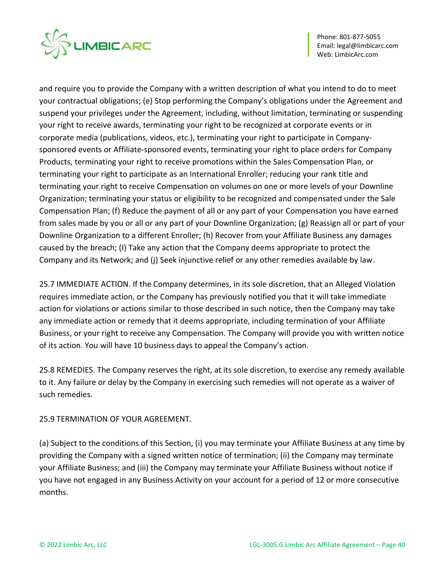

and require you to provide the Company with a written description of what you intend to do to meet your contractual obligations; (e) Stop performing the Company's obligations under the Agreement and suspend your privileges under the Agreement, including, without limitation, terminating or suspending your right to receive awards, terminating your right to be recognized at corporate events or in corporate media (publications, videos, etc.), terminating your right to participate in Companysponsored events or Affiliate-sponsored events, terminating your right to place orders for Company Products, terminating your right to receive promotions within the Sales Compensation Plan, or terminating your right to participate as an International Enroller; reducing your rank title and terminating your right to receive Compensation on volumes on one or more levels of your Downline Organization; terminating your status or eligibility to be recognized and compensated under the Sale Compensation Plan; (f) Reduce the payment of all or any part of your Compensation you have earned from sales made by you or all or any part of your Downline Organization; (g) Reassign all or part of your Downline Organization to a different Enroller; (h) Recover from your Affiliate Business any damages caused by the breach; (I) Take any action that the Company deems appropriate to protect the Company and its Network; and (j) Seek injunctive relief or any other remedies available by law.

25.7 IMMEDIATE ACTION. If the Company determines, in its sole discretion, that an Alleged Violation requires immediate action, or the Company has previously notified you that it will take immediate action for violations or actions similar to those described in such notice, then the Company may take any immediate action or remedy that it deems appropriate, including termination of your Affiliate Business, or your right to receive any Compensation. The Company will provide you with written notice of its action. You will have 10 business days to appeal the Company's action.

25.8 REMEDIES. The Company reserves the right, at its sole discretion, to exercise any remedy available to it. Any failure or delay by the Company in exercising such remedies will not operate as a waiver of such remedies.

# 25.9 TERMINATION OF YOUR AGREEMENT.

(a) Subject to the conditions of this Section, (i) you may terminate your Affiliate Business at any time by providing the Company with a signed written notice of termination; (ii) the Company may terminate your Affiliate Business; and (iii) the Company may terminate your Affiliate Business without notice if you have not engaged in any Business Activity on your account for a period of 12 or more consecutive months.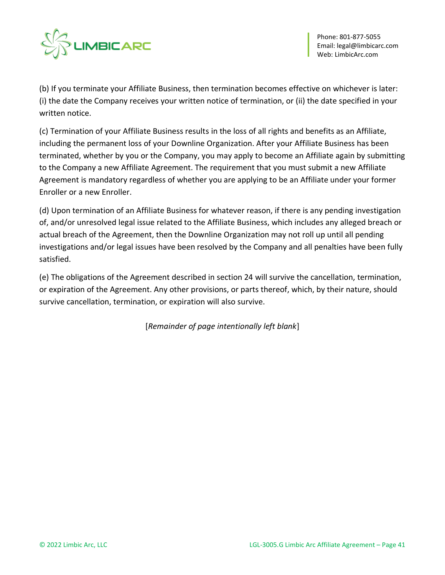

(b) If you terminate your Affiliate Business, then termination becomes effective on whichever is later: (i) the date the Company receives your written notice of termination, or (ii) the date specified in your written notice.

(c) Termination of your Affiliate Business results in the loss of all rights and benefits as an Affiliate, including the permanent loss of your Downline Organization. After your Affiliate Business has been terminated, whether by you or the Company, you may apply to become an Affiliate again by submitting to the Company a new Affiliate Agreement. The requirement that you must submit a new Affiliate Agreement is mandatory regardless of whether you are applying to be an Affiliate under your former Enroller or a new Enroller.

(d) Upon termination of an Affiliate Business for whatever reason, if there is any pending investigation of, and/or unresolved legal issue related to the Affiliate Business, which includes any alleged breach or actual breach of the Agreement, then the Downline Organization may not roll up until all pending investigations and/or legal issues have been resolved by the Company and all penalties have been fully satisfied.

(e) The obligations of the Agreement described in section 24 will survive the cancellation, termination, or expiration of the Agreement. Any other provisions, or parts thereof, which, by their nature, should survive cancellation, termination, or expiration will also survive.

[*Remainder of page intentionally left blank*]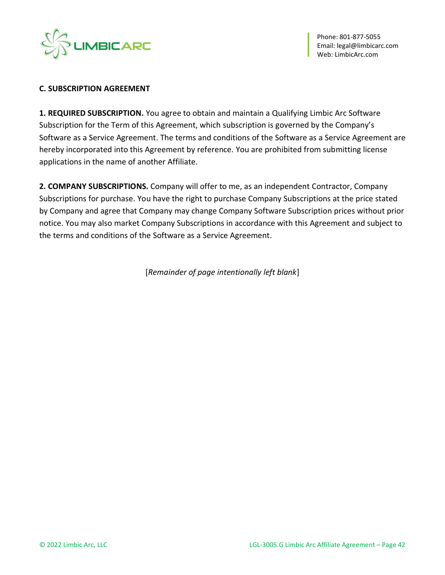

#### **C. SUBSCRIPTION AGREEMENT**

**1. REQUIRED SUBSCRIPTION.** You agree to obtain and maintain a Qualifying Limbic Arc Software Subscription for the Term of this Agreement, which subscription is governed by the Company's Software as a Service Agreement. The terms and conditions of the Software as a Service Agreement are hereby incorporated into this Agreement by reference. You are prohibited from submitting license applications in the name of another Affiliate.

**2. COMPANY SUBSCRIPTIONS.** Company will offer to me, as an independent Contractor, Company Subscriptions for purchase. You have the right to purchase Company Subscriptions at the price stated by Company and agree that Company may change Company Software Subscription prices without prior notice. You may also market Company Subscriptions in accordance with this Agreement and subject to the terms and conditions of the Software as a Service Agreement.

[*Remainder of page intentionally left blank*]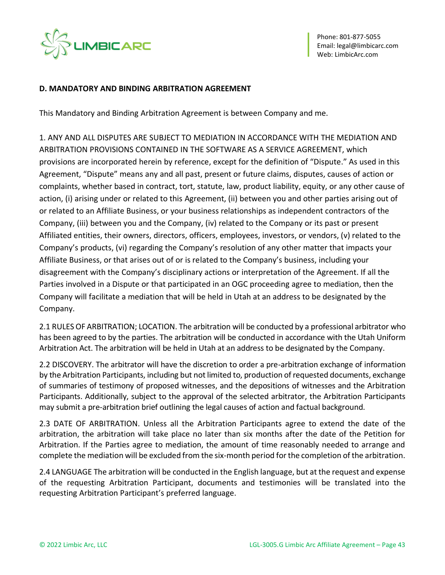

#### **D. MANDATORY AND BINDING ARBITRATION AGREEMENT**

This Mandatory and Binding Arbitration Agreement is between Company and me.

1. ANY AND ALL DISPUTES ARE SUBJECT TO MEDIATION IN ACCORDANCE WITH THE MEDIATION AND ARBITRATION PROVISIONS CONTAINED IN THE SOFTWARE AS A SERVICE AGREEMENT, which provisions are incorporated herein by reference, except for the definition of "Dispute." As used in this Agreement, "Dispute" means any and all past, present or future claims, disputes, causes of action or complaints, whether based in contract, tort, statute, law, product liability, equity, or any other cause of action, (i) arising under or related to this Agreement, (ii) between you and other parties arising out of or related to an Affiliate Business, or your business relationships as independent contractors of the Company, (iii) between you and the Company, (iv) related to the Company or its past or present Affiliated entities, their owners, directors, officers, employees, investors, or vendors, (v) related to the Company's products, (vi) regarding the Company's resolution of any other matter that impacts your Affiliate Business, or that arises out of or is related to the Company's business, including your disagreement with the Company's disciplinary actions or interpretation of the Agreement. If all the Parties involved in a Dispute or that participated in an OGC proceeding agree to mediation, then the Company will facilitate a mediation that will be held in Utah at an address to be designated by the Company.

2.1 RULES OF ARBITRATION; LOCATION. The arbitration will be conducted by a professional arbitrator who has been agreed to by the parties. The arbitration will be conducted in accordance with the Utah Uniform Arbitration Act. The arbitration will be held in Utah at an address to be designated by the Company.

2.2 DISCOVERY. The arbitrator will have the discretion to order a pre-arbitration exchange of information by the Arbitration Participants, including but not limited to, production of requested documents, exchange of summaries of testimony of proposed witnesses, and the depositions of witnesses and the Arbitration Participants. Additionally, subject to the approval of the selected arbitrator, the Arbitration Participants may submit a pre-arbitration brief outlining the legal causes of action and factual background.

2.3 DATE OF ARBITRATION. Unless all the Arbitration Participants agree to extend the date of the arbitration, the arbitration will take place no later than six months after the date of the Petition for Arbitration. If the Parties agree to mediation, the amount of time reasonably needed to arrange and complete the mediation will be excluded from the six-month period for the completion of the arbitration.

2.4 LANGUAGE The arbitration will be conducted in the English language, but at the request and expense of the requesting Arbitration Participant, documents and testimonies will be translated into the requesting Arbitration Participant's preferred language.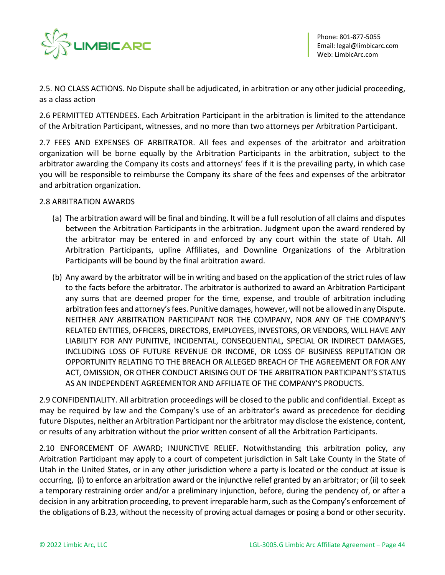

2.5. NO CLASS ACTIONS. No Dispute shall be adjudicated, in arbitration or any other judicial proceeding, as a class action

2.6 PERMITTED ATTENDEES. Each Arbitration Participant in the arbitration is limited to the attendance of the Arbitration Participant, witnesses, and no more than two attorneys per Arbitration Participant.

2.7 FEES AND EXPENSES OF ARBITRATOR. All fees and expenses of the arbitrator and arbitration organization will be borne equally by the Arbitration Participants in the arbitration, subject to the arbitrator awarding the Company its costs and attorneys' fees if it is the prevailing party, in which case you will be responsible to reimburse the Company its share of the fees and expenses of the arbitrator and arbitration organization.

### 2.8 ARBITRATION AWARDS

- (a) The arbitration award will be final and binding. It will be a full resolution of all claims and disputes between the Arbitration Participants in the arbitration. Judgment upon the award rendered by the arbitrator may be entered in and enforced by any court within the state of Utah. All Arbitration Participants, upline Affiliates, and Downline Organizations of the Arbitration Participants will be bound by the final arbitration award.
- (b) Any award by the arbitrator will be in writing and based on the application of the strict rules of law to the facts before the arbitrator. The arbitrator is authorized to award an Arbitration Participant any sums that are deemed proper for the time, expense, and trouble of arbitration including arbitration fees and attorney's fees. Punitive damages, however, will not be allowed in any Dispute. NEITHER ANY ARBITRATION PARTICIPANT NOR THE COMPANY, NOR ANY OF THE COMPANY'S RELATED ENTITIES, OFFICERS, DIRECTORS, EMPLOYEES, INVESTORS, OR VENDORS, WILL HAVE ANY LIABILITY FOR ANY PUNITIVE, INCIDENTAL, CONSEQUENTIAL, SPECIAL OR INDIRECT DAMAGES, INCLUDING LOSS OF FUTURE REVENUE OR INCOME, OR LOSS OF BUSINESS REPUTATION OR OPPORTUNITY RELATING TO THE BREACH OR ALLEGED BREACH OF THE AGREEMENT OR FOR ANY ACT, OMISSION, OR OTHER CONDUCT ARISING OUT OF THE ARBITRATION PARTICIPANT'S STATUS AS AN INDEPENDENT AGREEMENTOR AND AFFILIATE OF THE COMPANY'S PRODUCTS.

2.9 CONFIDENTIALITY. All arbitration proceedings will be closed to the public and confidential. Except as may be required by law and the Company's use of an arbitrator's award as precedence for deciding future Disputes, neither an Arbitration Participant nor the arbitrator may disclose the existence, content, or results of any arbitration without the prior written consent of all the Arbitration Participants.

2.10 ENFORCEMENT OF AWARD; INJUNCTIVE RELIEF. Notwithstanding this arbitration policy, any Arbitration Participant may apply to a court of competent jurisdiction in Salt Lake County in the State of Utah in the United States, or in any other jurisdiction where a party is located or the conduct at issue is occurring, (i) to enforce an arbitration award or the injunctive relief granted by an arbitrator; or (ii) to seek a temporary restraining order and/or a preliminary injunction, before, during the pendency of, or after a decision in any arbitration proceeding, to prevent irreparable harm, such as the Company's enforcement of the obligations of B.23, without the necessity of proving actual damages or posing a bond or other security.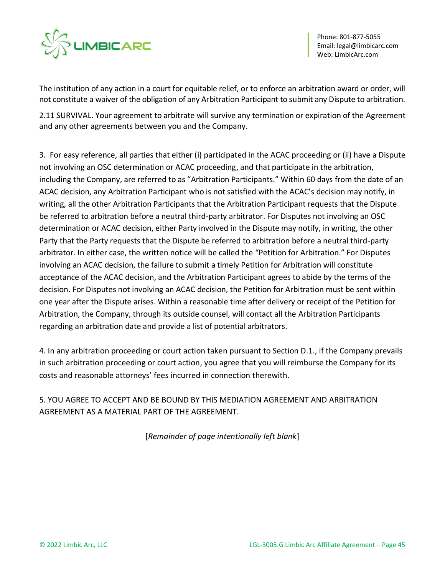

The institution of any action in a court for equitable relief, or to enforce an arbitration award or order, will not constitute a waiver of the obligation of any Arbitration Participant to submit any Dispute to arbitration.

2.11 SURVIVAL. Your agreement to arbitrate will survive any termination or expiration of the Agreement and any other agreements between you and the Company.

3. For easy reference, all parties that either (i) participated in the ACAC proceeding or (ii) have a Dispute not involving an OSC determination or ACAC proceeding, and that participate in the arbitration, including the Company, are referred to as "Arbitration Participants." Within 60 days from the date of an ACAC decision, any Arbitration Participant who is not satisfied with the ACAC's decision may notify, in writing, all the other Arbitration Participants that the Arbitration Participant requests that the Dispute be referred to arbitration before a neutral third-party arbitrator. For Disputes not involving an OSC determination or ACAC decision, either Party involved in the Dispute may notify, in writing, the other Party that the Party requests that the Dispute be referred to arbitration before a neutral third-party arbitrator. In either case, the written notice will be called the "Petition for Arbitration." For Disputes involving an ACAC decision, the failure to submit a timely Petition for Arbitration will constitute acceptance of the ACAC decision, and the Arbitration Participant agrees to abide by the terms of the decision. For Disputes not involving an ACAC decision, the Petition for Arbitration must be sent within one year after the Dispute arises. Within a reasonable time after delivery or receipt of the Petition for Arbitration, the Company, through its outside counsel, will contact all the Arbitration Participants regarding an arbitration date and provide a list of potential arbitrators.

4. In any arbitration proceeding or court action taken pursuant to Section D.1., if the Company prevails in such arbitration proceeding or court action, you agree that you will reimburse the Company for its costs and reasonable attorneys' fees incurred in connection therewith.

5. YOU AGREE TO ACCEPT AND BE BOUND BY THIS MEDIATION AGREEMENT AND ARBITRATION AGREEMENT AS A MATERIAL PART OF THE AGREEMENT.

[*Remainder of page intentionally left blank*]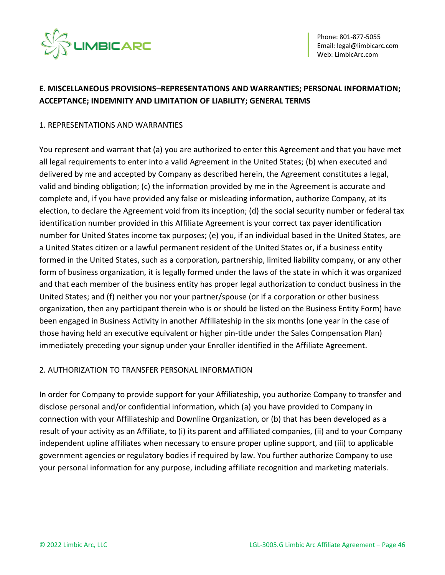

# **E. MISCELLANEOUS PROVISIONS–REPRESENTATIONS AND WARRANTIES; PERSONAL INFORMATION; ACCEPTANCE; INDEMNITY AND LIMITATION OF LIABILITY; GENERAL TERMS**

### 1. REPRESENTATIONS AND WARRANTIES

You represent and warrant that (a) you are authorized to enter this Agreement and that you have met all legal requirements to enter into a valid Agreement in the United States; (b) when executed and delivered by me and accepted by Company as described herein, the Agreement constitutes a legal, valid and binding obligation; (c) the information provided by me in the Agreement is accurate and complete and, if you have provided any false or misleading information, authorize Company, at its election, to declare the Agreement void from its inception; (d) the social security number or federal tax identification number provided in this Affiliate Agreement is your correct tax payer identification number for United States income tax purposes; (e) you, if an individual based in the United States, are a United States citizen or a lawful permanent resident of the United States or, if a business entity formed in the United States, such as a corporation, partnership, limited liability company, or any other form of business organization, it is legally formed under the laws of the state in which it was organized and that each member of the business entity has proper legal authorization to conduct business in the United States; and (f) neither you nor your partner/spouse (or if a corporation or other business organization, then any participant therein who is or should be listed on the Business Entity Form) have been engaged in Business Activity in another Affiliateship in the six months (one year in the case of those having held an executive equivalent or higher pin-title under the Sales Compensation Plan) immediately preceding your signup under your Enroller identified in the Affiliate Agreement.

### 2. AUTHORIZATION TO TRANSFER PERSONAL INFORMATION

In order for Company to provide support for your Affiliateship, you authorize Company to transfer and disclose personal and/or confidential information, which (a) you have provided to Company in connection with your Affiliateship and Downline Organization, or (b) that has been developed as a result of your activity as an Affiliate, to (i) its parent and affiliated companies, (ii) and to your Company independent upline affiliates when necessary to ensure proper upline support, and (iii) to applicable government agencies or regulatory bodies if required by law. You further authorize Company to use your personal information for any purpose, including affiliate recognition and marketing materials.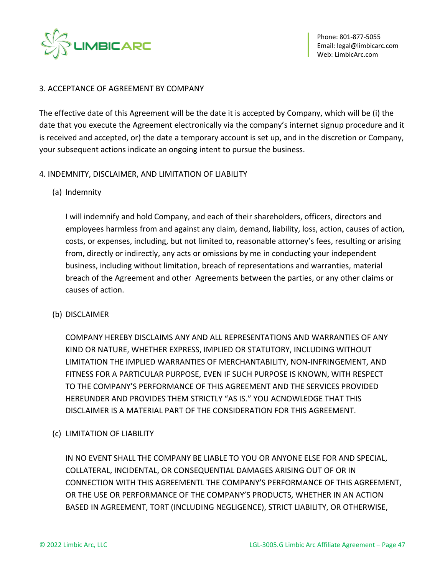

### 3. ACCEPTANCE OF AGREEMENT BY COMPANY

The effective date of this Agreement will be the date it is accepted by Company, which will be (i) the date that you execute the Agreement electronically via the company's internet signup procedure and it is received and accepted, or) the date a temporary account is set up, and in the discretion or Company, your subsequent actions indicate an ongoing intent to pursue the business.

### 4. INDEMNITY, DISCLAIMER, AND LIMITATION OF LIABILITY

(a) Indemnity

I will indemnify and hold Company, and each of their shareholders, officers, directors and employees harmless from and against any claim, demand, liability, loss, action, causes of action, costs, or expenses, including, but not limited to, reasonable attorney's fees, resulting or arising from, directly or indirectly, any acts or omissions by me in conducting your independent business, including without limitation, breach of representations and warranties, material breach of the Agreement and other Agreements between the parties, or any other claims or causes of action.

(b) DISCLAIMER

COMPANY HEREBY DISCLAIMS ANY AND ALL REPRESENTATIONS AND WARRANTIES OF ANY KIND OR NATURE, WHETHER EXPRESS, IMPLIED OR STATUTORY, INCLUDING WITHOUT LIMITATION THE IMPLIED WARRANTIES OF MERCHANTABILITY, NON-INFRINGEMENT, AND FITNESS FOR A PARTICULAR PURPOSE, EVEN IF SUCH PURPOSE IS KNOWN, WITH RESPECT TO THE COMPANY'S PERFORMANCE OF THIS AGREEMENT AND THE SERVICES PROVIDED HEREUNDER AND PROVIDES THEM STRICTLY "AS IS." YOU ACNOWLEDGE THAT THIS DISCLAIMER IS A MATERIAL PART OF THE CONSIDERATION FOR THIS AGREEMENT.

(c) LIMITATION OF LIABILITY

IN NO EVENT SHALL THE COMPANY BE LIABLE TO YOU OR ANYONE ELSE FOR AND SPECIAL, COLLATERAL, INCIDENTAL, OR CONSEQUENTIAL DAMAGES ARISING OUT OF OR IN CONNECTION WITH THIS AGREEMENTL THE COMPANY'S PERFORMANCE OF THIS AGREEMENT, OR THE USE OR PERFORMANCE OF THE COMPANY'S PRODUCTS, WHETHER IN AN ACTION BASED IN AGREEMENT, TORT (INCLUDING NEGLIGENCE), STRICT LIABILITY, OR OTHERWISE,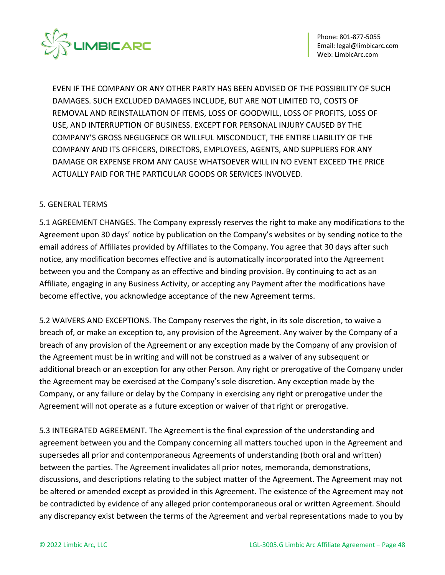

EVEN IF THE COMPANY OR ANY OTHER PARTY HAS BEEN ADVISED OF THE POSSIBILITY OF SUCH DAMAGES. SUCH EXCLUDED DAMAGES INCLUDE, BUT ARE NOT LIMITED TO, COSTS OF REMOVAL AND REINSTALLATION OF ITEMS, LOSS OF GOODWILL, LOSS OF PROFITS, LOSS OF USE, AND INTERRUPTION OF BUSINESS. EXCEPT FOR PERSONAL INJURY CAUSED BY THE COMPANY'S GROSS NEGLIGENCE OR WILLFUL MISCONDUCT, THE ENTIRE LIABILITY OF THE COMPANY AND ITS OFFICERS, DIRECTORS, EMPLOYEES, AGENTS, AND SUPPLIERS FOR ANY DAMAGE OR EXPENSE FROM ANY CAUSE WHATSOEVER WILL IN NO EVENT EXCEED THE PRICE ACTUALLY PAID FOR THE PARTICULAR GOODS OR SERVICES INVOLVED.

### 5. GENERAL TERMS

5.1 AGREEMENT CHANGES. The Company expressly reserves the right to make any modifications to the Agreement upon 30 days' notice by publication on the Company's websites or by sending notice to the email address of Affiliates provided by Affiliates to the Company. You agree that 30 days after such notice, any modification becomes effective and is automatically incorporated into the Agreement between you and the Company as an effective and binding provision. By continuing to act as an Affiliate, engaging in any Business Activity, or accepting any Payment after the modifications have become effective, you acknowledge acceptance of the new Agreement terms.

5.2 WAIVERS AND EXCEPTIONS. The Company reserves the right, in its sole discretion, to waive a breach of, or make an exception to, any provision of the Agreement. Any waiver by the Company of a breach of any provision of the Agreement or any exception made by the Company of any provision of the Agreement must be in writing and will not be construed as a waiver of any subsequent or additional breach or an exception for any other Person. Any right or prerogative of the Company under the Agreement may be exercised at the Company's sole discretion. Any exception made by the Company, or any failure or delay by the Company in exercising any right or prerogative under the Agreement will not operate as a future exception or waiver of that right or prerogative.

5.3 INTEGRATED AGREEMENT. The Agreement is the final expression of the understanding and agreement between you and the Company concerning all matters touched upon in the Agreement and supersedes all prior and contemporaneous Agreements of understanding (both oral and written) between the parties. The Agreement invalidates all prior notes, memoranda, demonstrations, discussions, and descriptions relating to the subject matter of the Agreement. The Agreement may not be altered or amended except as provided in this Agreement. The existence of the Agreement may not be contradicted by evidence of any alleged prior contemporaneous oral or written Agreement. Should any discrepancy exist between the terms of the Agreement and verbal representations made to you by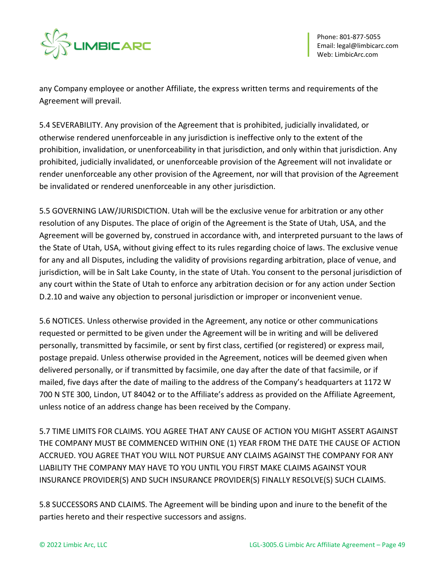

any Company employee or another Affiliate, the express written terms and requirements of the Agreement will prevail.

5.4 SEVERABILITY. Any provision of the Agreement that is prohibited, judicially invalidated, or otherwise rendered unenforceable in any jurisdiction is ineffective only to the extent of the prohibition, invalidation, or unenforceability in that jurisdiction, and only within that jurisdiction. Any prohibited, judicially invalidated, or unenforceable provision of the Agreement will not invalidate or render unenforceable any other provision of the Agreement, nor will that provision of the Agreement be invalidated or rendered unenforceable in any other jurisdiction.

5.5 GOVERNING LAW/JURISDICTION. Utah will be the exclusive venue for arbitration or any other resolution of any Disputes. The place of origin of the Agreement is the State of Utah, USA, and the Agreement will be governed by, construed in accordance with, and interpreted pursuant to the laws of the State of Utah, USA, without giving effect to its rules regarding choice of laws. The exclusive venue for any and all Disputes, including the validity of provisions regarding arbitration, place of venue, and jurisdiction, will be in Salt Lake County, in the state of Utah. You consent to the personal jurisdiction of any court within the State of Utah to enforce any arbitration decision or for any action under Section D.2.10 and waive any objection to personal jurisdiction or improper or inconvenient venue.

5.6 NOTICES. Unless otherwise provided in the Agreement, any notice or other communications requested or permitted to be given under the Agreement will be in writing and will be delivered personally, transmitted by facsimile, or sent by first class, certified (or registered) or express mail, postage prepaid. Unless otherwise provided in the Agreement, notices will be deemed given when delivered personally, or if transmitted by facsimile, one day after the date of that facsimile, or if mailed, five days after the date of mailing to the address of the Company's headquarters at 1172 W 700 N STE 300, Lindon, UT 84042 or to the Affiliate's address as provided on the Affiliate Agreement, unless notice of an address change has been received by the Company.

5.7 TIME LIMITS FOR CLAIMS. YOU AGREE THAT ANY CAUSE OF ACTION YOU MIGHT ASSERT AGAINST THE COMPANY MUST BE COMMENCED WITHIN ONE (1) YEAR FROM THE DATE THE CAUSE OF ACTION ACCRUED. YOU AGREE THAT YOU WILL NOT PURSUE ANY CLAIMS AGAINST THE COMPANY FOR ANY LIABILITY THE COMPANY MAY HAVE TO YOU UNTIL YOU FIRST MAKE CLAIMS AGAINST YOUR INSURANCE PROVIDER(S) AND SUCH INSURANCE PROVIDER(S) FINALLY RESOLVE(S) SUCH CLAIMS.

5.8 SUCCESSORS AND CLAIMS. The Agreement will be binding upon and inure to the benefit of the parties hereto and their respective successors and assigns.